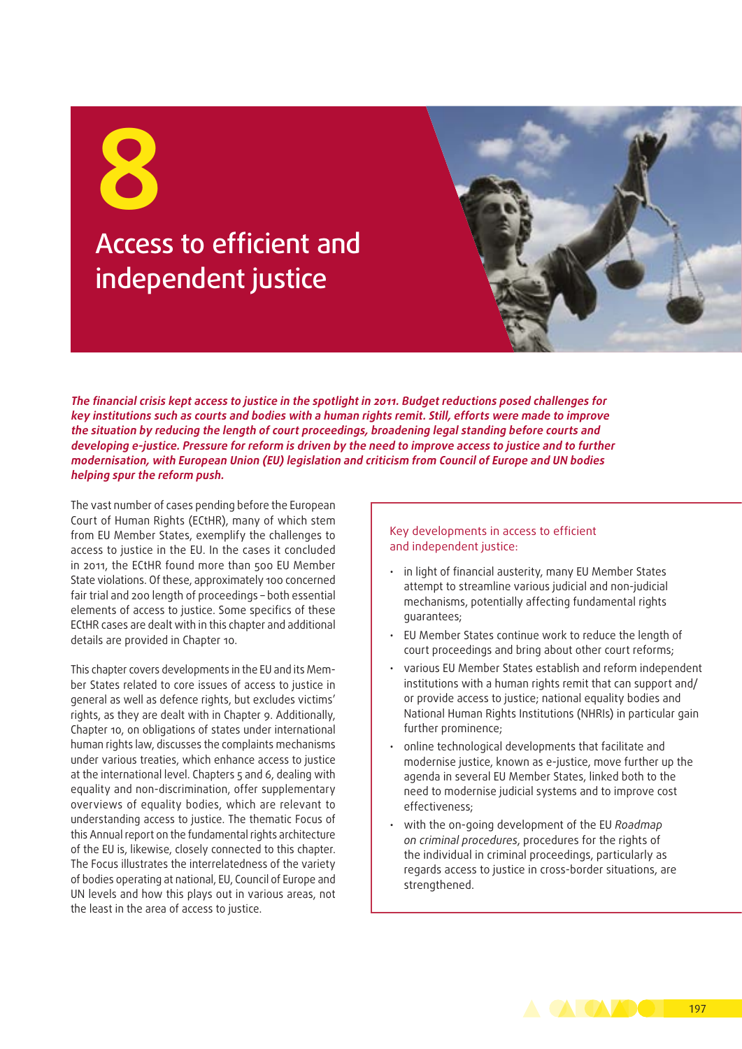# Access to efficient and independent justice

**The financial crisis kept access to justice in the spotlight in 2011. Budget reductions posed challenges for key institutions such as courts and bodies with a human rights remit. Still, efforts were made to improve the situation by reducing the length of court proceedings, broadening legal standing before courts and developing e‑justice. Pressure for reform is driven by the need to improve access to justice and to further modernisation, with European Union (EU) legislation and criticism from Council of Europe and UN bodies helping spur the reform push.**

The vast number of cases pending before the European Court of Human Rights (ECtHR), many of which stem from EU Member States, exemplify the challenges to access to justice in the EU. In the cases it concluded in 2011, the ECtHR found more than 500 EU Member State violations. Of these, approximately 100 concerned fair trial and 200 length of proceedings – both essential elements of access to justice. Some specifics of these ECtHR cases are dealt with in this chapter and additional details are provided in Chapter 10.

This chapter covers developments in the EU and its Member States related to core issues of access to justice in general as well as defence rights, but excludes victims' rights, as they are dealt with in Chapter 9. Additionally, Chapter 10, on obligations of states under international human rights law, discusses the complaints mechanisms under various treaties, which enhance access to justice at the international level. Chapters 5 and 6, dealing with equality and non‑discrimination, offer supplementary overviews of equality bodies, which are relevant to understanding access to justice. The thematic Focus of this Annual report on the fundamental rights architecture of the EU is, likewise, closely connected to this chapter. The Focus illustrates the interrelatedness of the variety of bodies operating at national, EU, Council of Europe and UN levels and how this plays out in various areas, not the least in the area of access to justice.

#### Key developments in access to efficient and independent justice:

- in light of financial austerity, many EU Member States attempt to streamline various judicial and non‑judicial mechanisms, potentially affecting fundamental rights guarantees;
- EU Member States continue work to reduce the length of court proceedings and bring about other court reforms;
- various EU Member States establish and reform independent institutions with a human rights remit that can support and/ or provide access to justice; national equality bodies and National Human Rights Institutions (NHRIs) in particular gain further prominence;
- online technological developments that facilitate and modernise justice, known as e‑justice, move further up the agenda in several EU Member States, linked both to the need to modernise judicial systems and to improve cost effectiveness;
- with the on-going development of the EU *Roadmap on criminal procedures*, procedures for the rights of the individual in criminal proceedings, particularly as regards access to justice in cross‑border situations, are strengthened.

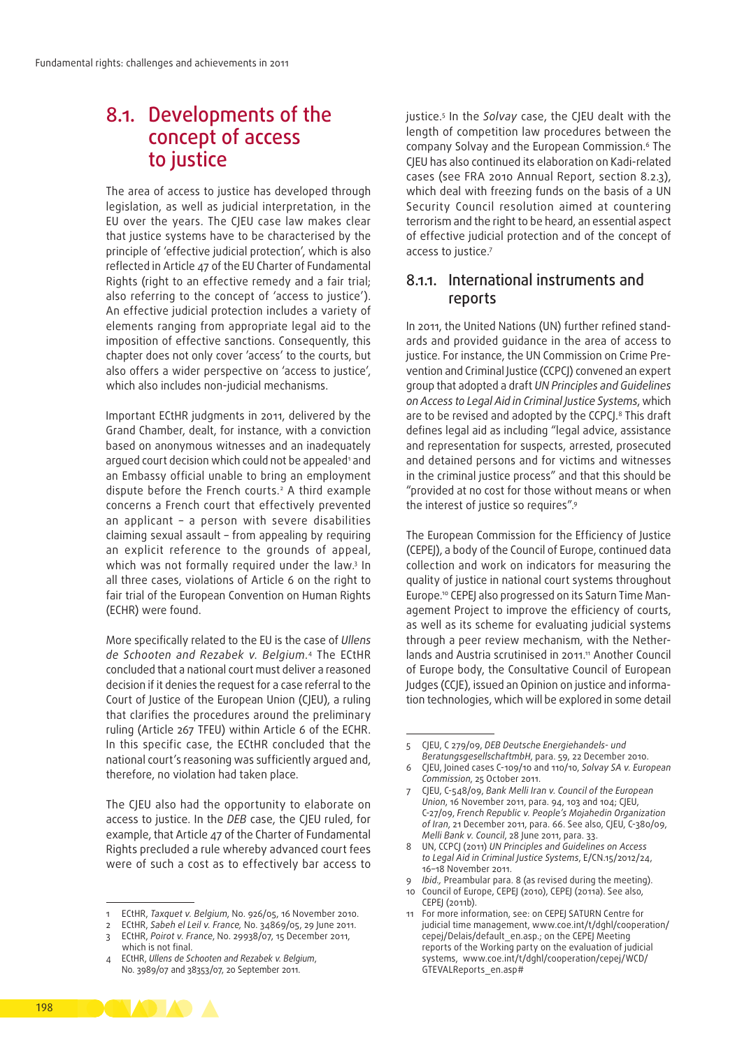# 8.1. Developments of the concept of access to justice

The area of access to justice has developed through legislation, as well as judicial interpretation, in the EU over the years. The CJEU case law makes clear that justice systems have to be characterised by the principle of 'effective judicial protection', which is also reflected in Article 47 of the EU Charter of Fundamental Rights (right to an effective remedy and a fair trial; also referring to the concept of 'access to justice'). An effective judicial protection includes a variety of elements ranging from appropriate legal aid to the imposition of effective sanctions. Consequently, this chapter does not only cover 'access' to the courts, but also offers a wider perspective on 'access to justice', which also includes non-judicial mechanisms.

Important ECtHR judgments in 2011, delivered by the Grand Chamber, dealt, for instance, with a conviction based on anonymous witnesses and an inadequately argued court decision which could not be appealed<sup>1</sup> and an Embassy official unable to bring an employment dispute before the French courts.2 A third example concerns a French court that effectively prevented an applicant – a person with severe disabilities claiming sexual assault – from appealing by requiring an explicit reference to the grounds of appeal, which was not formally required under the law.3 In all three cases, violations of Article 6 on the right to fair trial of the European Convention on Human Rights (ECHR) were found.

More specifically related to the EU is the case of *Ullens de Schooten and Rezabek v. Belgium*. 4 The ECtHR concluded that a national court must deliver a reasoned decision if it denies the request for a case referral to the Court of Justice of the European Union (CJEU), a ruling that clarifies the procedures around the preliminary ruling (Article 267 TFEU) within Article 6 of the ECHR. In this specific case, the ECtHR concluded that the national court's reasoning was sufficiently argued and, therefore, no violation had taken place.

The CJEU also had the opportunity to elaborate on access to justice. In the *DEB* case, the CJEU ruled, for example, that Article 47 of the Charter of Fundamental Rights precluded a rule whereby advanced court fees were of such a cost as to effectively bar access to

3 ECtHR, *Poirot v. France*, No. 29938/07, 15 December 2011,

justice.5 In the *Solvay* case, the CJEU dealt with the length of competition law procedures between the company Solvay and the European Commission.6 The CJEU has also continued its elaboration on Kadi‑related cases (see FRA 2010 Annual Report, section 8.2.3), which deal with freezing funds on the basis of a UN Security Council resolution aimed at countering terrorism and the right to be heard, an essential aspect of effective judicial protection and of the concept of access to justice.7

# 8.1.1. International instruments and reports

In 2011, the United Nations (UN) further refined standards and provided guidance in the area of access to justice. For instance, the UN Commission on Crime Prevention and Criminal Justice (CCPCJ) convened an expert group that adopted a draft *UN Principles and Guidelines on Access to Legal Aid in Criminal Justice Systems*, which are to be revised and adopted by the CCPCJ.<sup>8</sup> This draft defines legal aid as including "legal advice, assistance and representation for suspects, arrested, prosecuted and detained persons and for victims and witnesses in the criminal justice process" and that this should be "provided at no cost for those without means or when the interest of justice so requires".9

The European Commission for the Efficiency of Justice (CEPEJ), a body of the Council of Europe, continued data collection and work on indicators for measuring the quality of justice in national court systems throughout Europe.<sup>10</sup> CEPEJ also progressed on its Saturn Time Management Project to improve the efficiency of courts, as well as its scheme for evaluating judicial systems through a peer review mechanism, with the Netherlands and Austria scrutinised in 2011.<sup>11</sup> Another Council of Europe body, the Consultative Council of European Judges (CCJE), issued an Opinion on justice and information technologies, which will be explored in some detail

- 8 UN, CCPCJ (2011) *UN Principles and Guidelines on Access to Legal Aid in Criminal Justice Systems*, E/CN.15/2012/24, 16–18 November 2011.
- *Ibid.,* Preambular para. 8 (as revised during the meeting). 10 Council of Europe, CEPEJ (2010), CEPEJ (2011a). See also,
- CEPEJ (2011b). 11 For more information, see: on CEPEJ SATURN Centre for judicial time management, www.coe.int/t/dghl/cooperation/ cepej/Delais/default\_en.asp.; on the CEPEJ Meeting reports of the Working party on the evaluation of judicial systems, www.coe.int/t/dghl/cooperation/cepej/WCD/ GTEVALReports\_en.asp#



<sup>1</sup> ECtHR, *Taxquet v. Belgium*, No. 926/05, 16 November 2010.

<sup>2</sup> ECtHR, *Sabeh el Leil v. France,* No. 34869/05, 29 June 2011.

which is not final. 4 ECtHR, *Ullens de Schooten and Rezabek v. Belgium*,

No. 3989/07 and 38353/07, 20 September 2011.

<sup>5</sup> CJEU, C 279/09, *DEB Deutsche Energiehandels- und BeratungsgesellschaftmbH*, para. 59, 22 December 2010.

<sup>6</sup> CJEU, Joined cases C-109/10 and 110/10, *Solvay SA v. European Commission*, 25 October 2011.

<sup>7</sup> CJEU, C-548/09, *Bank Melli Iran v. Council of the European Union*, 16 November 2011, para. 94, 103 and 104; CJEU, C-27/09, *French Republic v. People's Mojahedin Organization of Iran*, 21 December 2011, para. 66. See also, CJEU, C-380/09, *Melli Bank v. Council*, 28 June 2011, para. 33.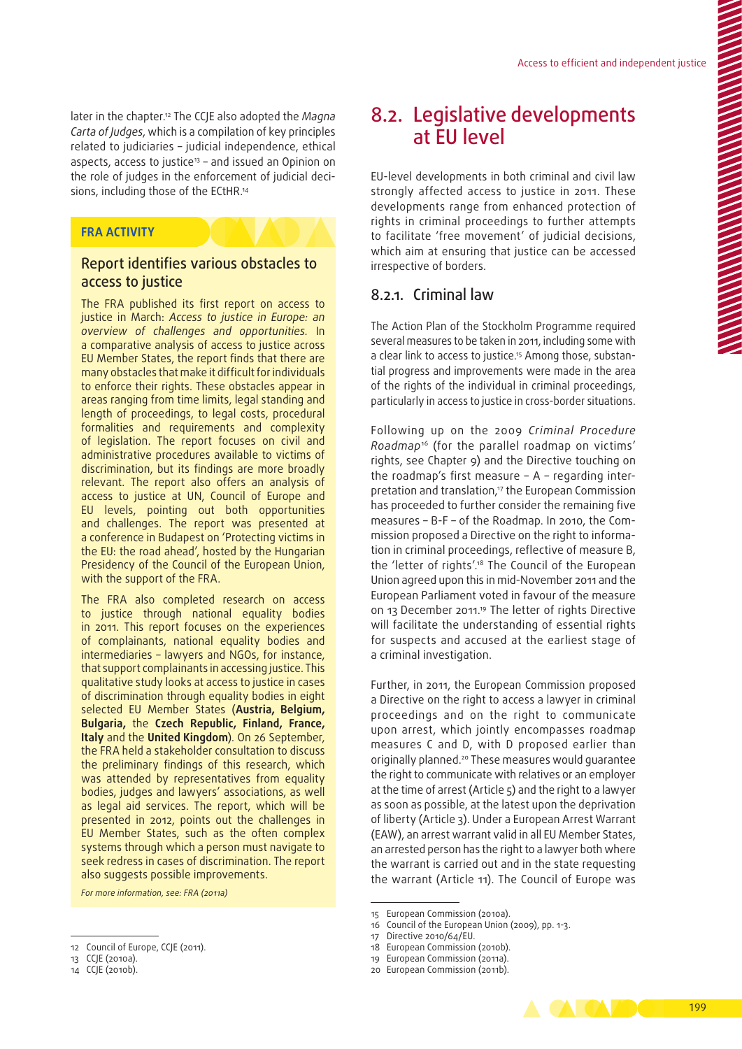later in the chapter.12 The CCJE also adopted the *Magna Carta of Judges*, which is a compilation of key principles related to judiciaries – judicial independence, ethical aspects, access to justice<sup>13</sup> – and issued an Opinion on the role of judges in the enforcement of judicial decisions, including those of the ECtHR.<sup>14</sup>

### **FRA ACTIVITY**

# Report identifies various obstacles to access to justice

The FRA published its first report on access to justice in March: *Access to justice in Europe: an overview of challenges and opportunities.* In a comparative analysis of access to justice across EU Member States, the report finds that there are many obstacles that make it difficult for individuals to enforce their rights. These obstacles appear in areas ranging from time limits, legal standing and length of proceedings, to legal costs, procedural formalities and requirements and complexity of legislation. The report focuses on civil and administrative procedures available to victims of discrimination, but its findings are more broadly relevant. The report also offers an analysis of access to justice at UN, Council of Europe and EU levels, pointing out both opportunities and challenges. The report was presented at a conference in Budapest on 'Protecting victims in the EU: the road ahead', hosted by the Hungarian Presidency of the Council of the European Union, with the support of the FRA.

The FRA also completed research on access to justice through national equality bodies in 2011. This report focuses on the experiences of complainants, national equality bodies and intermediaries – lawyers and NGOs, for instance, that support complainants in accessing justice. This qualitative study looks at access to justice in cases of discrimination through equality bodies in eight selected EU Member States (**Austria, Belgium, Bulgaria,** the **Czech Republic, Finland, France, Italy** and the **United Kingdom**). On 26 September, the FRA held a stakeholder consultation to discuss the preliminary findings of this research, which was attended by representatives from equality bodies, judges and lawyers' associations, as well as legal aid services. The report, which will be presented in 2012, points out the challenges in EU Member States, such as the often complex systems through which a person must navigate to seek redress in cases of discrimination. The report also suggests possible improvements.

*For more information, see: FRA (2011a)*

# 8.2. Legislative developments at EU level

EU‑level developments in both criminal and civil law strongly affected access to justice in 2011. These developments range from enhanced protection of rights in criminal proceedings to further attempts to facilitate 'free movement' of judicial decisions, which aim at ensuring that justice can be accessed irrespective of borders.

# 8.2.1. Criminal law

The Action Plan of the Stockholm Programme required several measures to be taken in 2011, including some with a clear link to access to justice.<sup>15</sup> Among those, substantial progress and improvements were made in the area of the rights of the individual in criminal proceedings, particularly in access to justice in cross-border situations.

Following up on the 2009 *Criminal Procedure Roadmap*16 (for the parallel roadmap on victims' rights, see Chapter 9) and the Directive touching on the roadmap's first measure  $- A -$  regarding interpretation and translation,<sup>17</sup> the European Commission has proceeded to further consider the remaining five measures – B-F – of the Roadmap. In 2010, the Commission proposed a Directive on the right to information in criminal proceedings, reflective of measure B, the 'letter of rights'.18 The Council of the European Union agreed upon this in mid‑November 2011 and the European Parliament voted in favour of the measure on 13 December 2011.19 The letter of rights Directive will facilitate the understanding of essential rights for suspects and accused at the earliest stage of a criminal investigation.

Further, in 2011, the European Commission proposed a Directive on the right to access a lawyer in criminal proceedings and on the right to communicate upon arrest, which jointly encompasses roadmap measures C and D, with D proposed earlier than originally planned.<sup>20</sup> These measures would guarantee the right to communicate with relatives or an employer at the time of arrest (Article 5) and the right to a lawyer as soon as possible, at the latest upon the deprivation of liberty (Article 3). Under a European Arrest Warrant (EAW), an arrest warrant valid in all EU Member States, an arrested person has the right to a lawyer both where the warrant is carried out and in the state requesting the warrant (Article 11). The Council of Europe was

<sup>20</sup> European Commission (2011b).



<sup>12</sup> Council of Europe, CCJE (2011).

<sup>13</sup> CCJE (2010a).

<sup>14</sup> CCJE (2010b).

<sup>15</sup> European Commission (2010a).

<sup>16</sup> Council of the European Union (2009), pp. 1-3.

<sup>17</sup> Directive 2010/64/EU.

<sup>18</sup> European Commission (2010b).

<sup>19</sup> European Commission (2011a).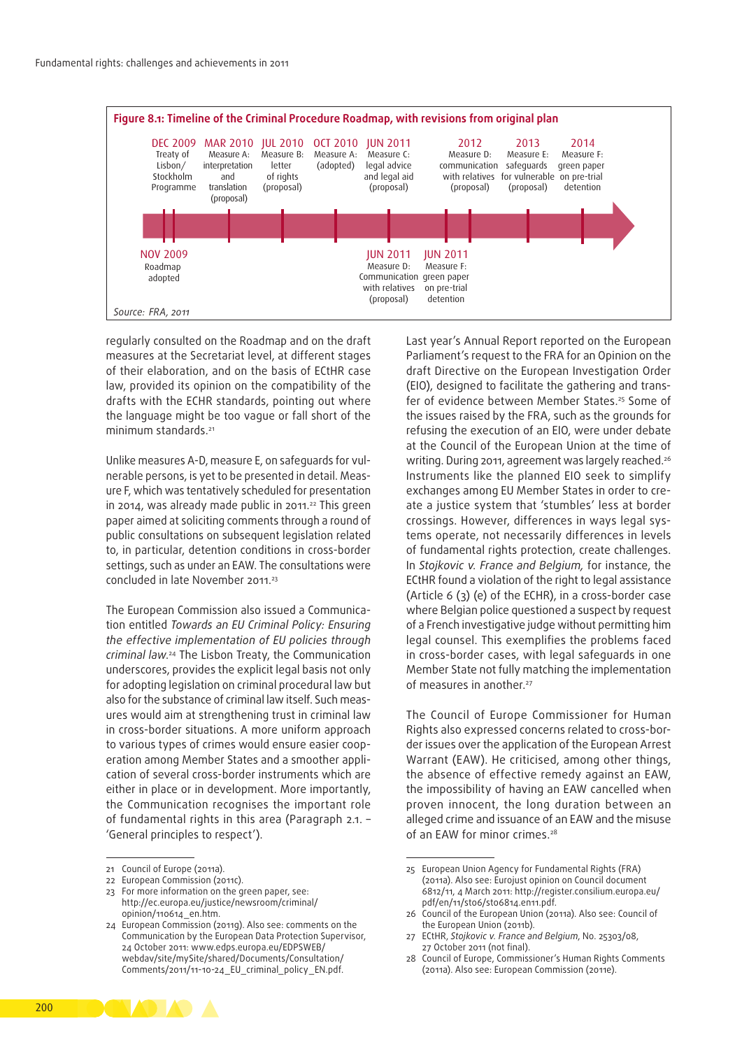

regularly consulted on the Roadmap and on the draft measures at the Secretariat level, at different stages of their elaboration, and on the basis of ECtHR case law, provided its opinion on the compatibility of the drafts with the ECHR standards, pointing out where the language might be too vague or fall short of the minimum standards.<sup>21</sup>

Unlike measures A-D, measure E, on safeguards for vulnerable persons, is yet to be presented in detail. Measure F, which was tentatively scheduled for presentation in 2014, was already made public in 2011.<sup>22</sup> This green paper aimed at soliciting comments through a round of public consultations on subsequent legislation related to, in particular, detention conditions in cross-border settings, such as under an EAW. The consultations were concluded in late November 2011.<sup>23</sup>

The European Commission also issued a Communication entitled *Towards an EU Criminal Policy: Ensuring the effective implementation of EU policies through criminal law*. 24 The Lisbon Treaty, the Communication underscores, provides the explicit legal basis not only for adopting legislation on criminal procedural law but also for the substance of criminal law itself. Such measures would aim at strengthening trust in criminal law in cross‑border situations. A more uniform approach to various types of crimes would ensure easier cooperation among Member States and a smoother application of several cross‑border instruments which are either in place or in development. More importantly, the Communication recognises the important role of fundamental rights in this area (Paragraph 2.1. – 'General principles to respect').

Last year's Annual Report reported on the European Parliament's request to the FRA for an Opinion on the draft Directive on the European Investigation Order (EIO), designed to facilitate the gathering and trans‑ fer of evidence between Member States.<sup>25</sup> Some of the issues raised by the FRA, such as the grounds for refusing the execution of an EIO, were under debate at the Council of the European Union at the time of writing. During 2011, agreement was largely reached.<sup>26</sup> Instruments like the planned EIO seek to simplify exchanges among EU Member States in order to create a justice system that 'stumbles' less at border crossings. However, differences in ways legal systems operate, not necessarily differences in levels of fundamental rights protection, create challenges. In *Stojkovic v. France and Belgium,* for instance, the ECtHR found a violation of the right to legal assistance (Article 6 (3) (e) of the ECHR), in a cross-border case where Belgian police questioned a suspect by request of a French investigative judge without permitting him legal counsel. This exemplifies the problems faced in cross‑border cases, with legal safeguards in one Member State not fully matching the implementation of measures in another.<sup>27</sup>

The Council of Europe Commissioner for Human Rights also expressed concerns related to cross-border issues over the application of the European Arrest Warrant (EAW). He criticised, among other things, the absence of effective remedy against an EAW, the impossibility of having an EAW cancelled when proven innocent, the long duration between an alleged crime and issuance of an EAW and the misuse of an EAW for minor crimes.<sup>28</sup>



<sup>21</sup> Council of Europe (2011a).

<sup>22</sup> European Commission (2011c).

<sup>23</sup> For more information on the green paper, see: [http://ec.europa.eu/justice/newsroom/criminal/](http://ec.europa.eu/justice/newsroom/criminal/opinion/110614_en.htm) [opinion/110614\\_en.htm](http://ec.europa.eu/justice/newsroom/criminal/opinion/110614_en.htm).

<sup>24</sup> European Commission (2011g). Also see: comments on the Communication by the European Data Protection Supervisor, 24 October 2011: [www.edps.europa.eu/EDPSWEB/](http://www.edps.europa.eu/EDPSWEB/webdav/site/mySite/shared/Documents/Consultation/Comments/2011/11-10-24_EU_criminal_policy_EN.pdf) [webdav/site/mySite/shared/Documents/Consultation/](http://www.edps.europa.eu/EDPSWEB/webdav/site/mySite/shared/Documents/Consultation/Comments/2011/11-10-24_EU_criminal_policy_EN.pdf) [Comments/2011/11-10-24\\_EU\\_criminal\\_policy\\_EN.pdf.](http://www.edps.europa.eu/EDPSWEB/webdav/site/mySite/shared/Documents/Consultation/Comments/2011/11-10-24_EU_criminal_policy_EN.pdf)

<sup>25</sup> European Union Agency for Fundamental Rights (FRA) (2011a). Also see: Eurojust opinion on Council document 6812/11, 4 March 2011: [http://register.consilium.europa.eu/](http://register.consilium.europa.eu/pdf/en/11/st06/st06814.en11.pdf) [pdf/en/11/st06/st06814.en11.pdf](http://register.consilium.europa.eu/pdf/en/11/st06/st06814.en11.pdf).

<sup>26</sup> Council of the European Union (2011a). Also see: Council of the European Union (2011b).

<sup>27</sup> ECtHR, *Stojkovic v. France and Belgium*, No. 25303/08, 27 October 2011 (not final).

<sup>28</sup> Council of Europe, Commissioner's Human Rights Comments (2011a). Also see: European Commission (2011e).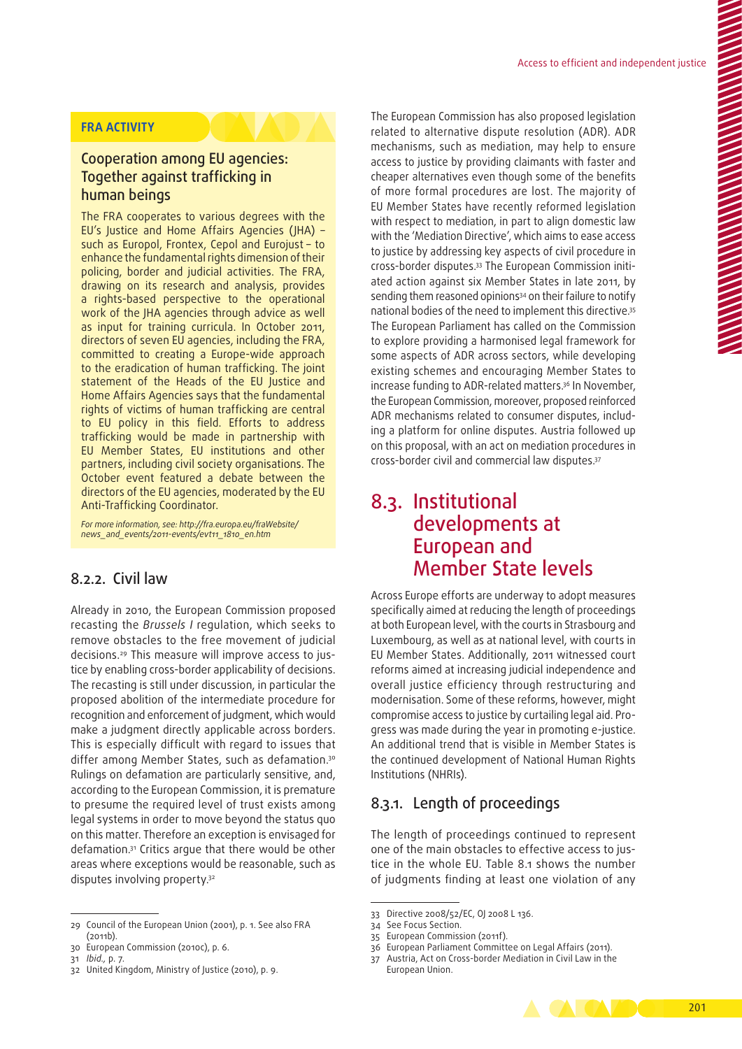# **FRA ACTIVITY**

# Cooperation among EU agencies: Together against trafficking in human beings

The FRA cooperates to various degrees with the EU's Justice and Home Affairs Agencies (JHA) – such as Europol, Frontex, Cepol and Eurojust – to enhance the fundamental rights dimension of their policing, border and judicial activities. The FRA, drawing on its research and analysis, provides a rights-based perspective to the operational work of the JHA agencies through advice as well as input for training curricula. In October 2011, directors of seven EU agencies, including the FRA, committed to creating a Europe-wide approach to the eradication of human trafficking. The joint statement of the Heads of the EU Justice and Home Affairs Agencies says that the fundamental rights of victims of human trafficking are central to EU policy in this field. Efforts to address trafficking would be made in partnership with EU Member States, EU institutions and other partners, including civil society organisations. The October event featured a debate between the directors of the EU agencies, moderated by the EU Anti‑Trafficking Coordinator.

*For more information, see: [http://fra.europa.eu/fraWebsite/](http://fra.europa.eu/fraWebsite/news_and_events/2011-events/evt11_1810_en.htm) [news\\_and\\_events/2011-events/evt11\\_1810\\_en.htm](http://fra.europa.eu/fraWebsite/news_and_events/2011-events/evt11_1810_en.htm)*

# 8.2.2. Civil law

Already in 2010, the European Commission proposed recasting the *Brussels I* regulation, which seeks to remove obstacles to the free movement of judicial decisions.<sup>29</sup> This measure will improve access to justice by enabling cross‑border applicability of decisions. The recasting is still under discussion, in particular the proposed abolition of the intermediate procedure for recognition and enforcement of judgment, which would make a judgment directly applicable across borders. This is especially difficult with regard to issues that differ among Member States, such as defamation.<sup>30</sup> Rulings on defamation are particularly sensitive, and, according to the European Commission, it is premature to presume the required level of trust exists among legal systems in order to move beyond the status quo on this matter. Therefore an exception is envisaged for defamation.31 Critics argue that there would be other areas where exceptions would be reasonable, such as disputes involving property.<sup>32</sup>

The European Commission has also proposed legislation related to alternative dispute resolution (ADR). ADR mechanisms, such as mediation, may help to ensure access to justice by providing claimants with faster and cheaper alternatives even though some of the benefits of more formal procedures are lost. The majority of EU Member States have recently reformed legislation with respect to mediation, in part to align domestic law with the 'Mediation Directive', which aims to ease access to justice by addressing key aspects of civil procedure in cross-border disputes.<sup>33</sup> The European Commission initiated action against six Member States in late 2011, by sending them reasoned opinions<sup>34</sup> on their failure to notify national bodies of the need to implement this directive.35 The European Parliament has called on the Commission to explore providing a harmonised legal framework for some aspects of ADR across sectors, while developing existing schemes and encouraging Member States to increase funding to ADR‑related matters.36 In November, the European Commission, moreover, proposed reinforced ADR mechanisms related to consumer disputes, including a platform for online disputes. Austria followed up on this proposal, with an act on mediation procedures in cross‑border civil and commercial law disputes.37

# 8.3. Institutional developments at European and Member State levels

Across Europe efforts are underway to adopt measures specifically aimed at reducing the length of proceedings at both European level, with the courts in Strasbourg and Luxembourg, as well as at national level, with courts in EU Member States. Additionally, 2011 witnessed court reforms aimed at increasing judicial independence and overall justice efficiency through restructuring and modernisation. Some of these reforms, however, might compromise access to justice by curtailing legal aid. Progress was made during the year in promoting e‑justice. An additional trend that is visible in Member States is the continued development of National Human Rights Institutions (NHRIs).

# 8.3.1. Length of proceedings

The length of proceedings continued to represent one of the main obstacles to effective access to justice in the whole EU. Table 8.1 shows the number of judgments finding at least one violation of any

<sup>37</sup> Austria, Act on Cross‑border Mediation in Civil Law in the European Union.



<sup>29</sup> Council of the European Union (2001), p. 1. See also FRA (2011b).

<sup>30</sup> European Commission (2010c), p. 6.

<sup>31</sup> *Ibid.,* p. 7.

<sup>32</sup> United Kingdom, Ministry of Justice (2010), p. 9.

<sup>33</sup> Directive 2008/52/EC, OJ 2008 L 136.

<sup>34</sup> See Focus Section.

<sup>35</sup> European Commission (2011f).

<sup>36</sup> European Parliament Committee on Legal Affairs (2011).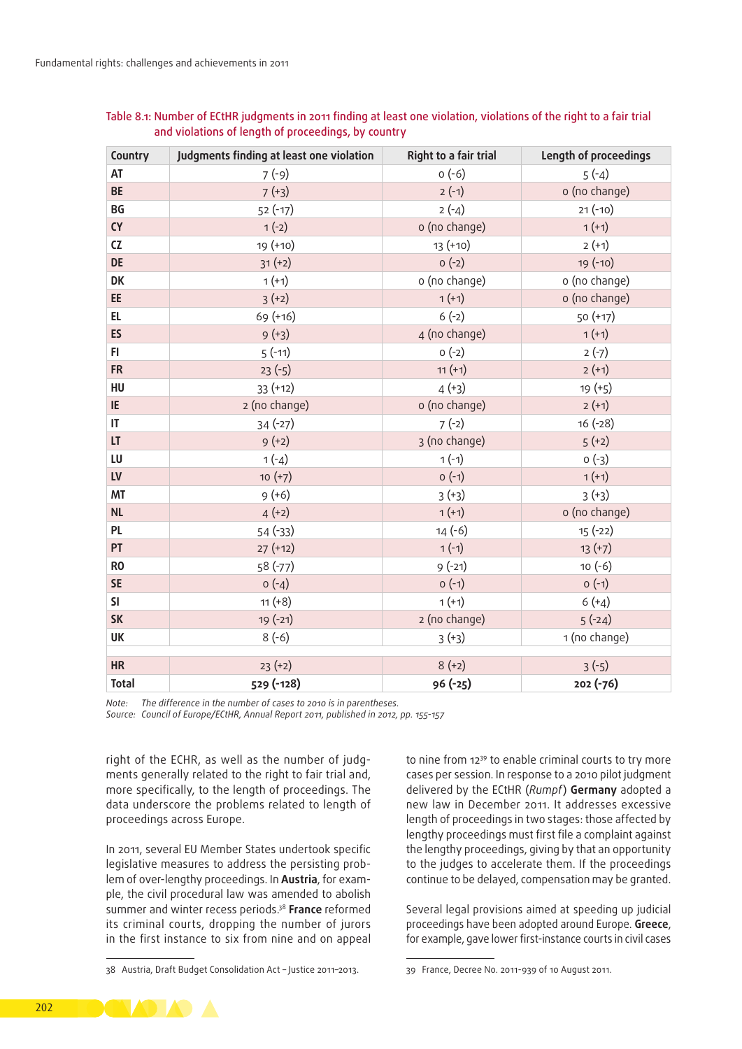| Country        | Judgments finding at least one violation | Right to a fair trial | Length of proceedings |
|----------------|------------------------------------------|-----------------------|-----------------------|
| AT             | $7(-9)$                                  | $0(-6)$               | $5(-4)$               |
| <b>BE</b>      | $7 (+3)$                                 | $2(-1)$               | o (no change)         |
| BG             | $52(-17)$                                | $2(-4)$               | $21(-10)$             |
| CY             | $1(-2)$                                  | o (no change)         | $1 (+1)$              |
| CZ             | 19 (+10)                                 | $13(+10)$             | $2 (+1)$              |
| <b>DE</b>      | $31 (+2)$                                | $O(-2)$               | $19(-10)$             |
| DK             | $1 (+1)$                                 | o (no change)         | o (no change)         |
| EE             | $3 (+2)$                                 | $1 (+1)$              | o (no change)         |
| EL.            | 69 (+16)                                 | $6(-2)$               | 50 (+17)              |
| <b>ES</b>      | $9 (+3)$                                 | 4 (no change)         | $1 (+1)$              |
| FI.            | $5(-11)$                                 | $O(-2)$               | $2(-7)$               |
| <b>FR</b>      | $23(-5)$                                 | $11 (+1)$             | $2 (+1)$              |
| HU             | $33 (+12)$                               | $4 (+3)$              | $19 (+5)$             |
| IE             | 2 (no change)                            | o (no change)         | $2 (+1)$              |
| IT.            | $34(-27)$                                | $7(-2)$               | $16(-28)$             |
| LT.            | $9 (+2)$                                 | 3 (no change)         | $5(+2)$               |
| LU             | $1(-4)$                                  | $1(-1)$               | $0(-3)$               |
| <b>LV</b>      | $10 (+7)$                                | $O(-1)$               | $1 (+1)$              |
| MT             | $9 (+6)$                                 | $3 (+3)$              | $3 (+3)$              |
| <b>NL</b>      | $4 (+2)$                                 | $1 (+1)$              | o (no change)         |
| <b>PL</b>      | $54(-33)$                                | $14(-6)$              | $15(-22)$             |
| PT             | $27 (+12)$                               | $1(-1)$               | $13 (+7)$             |
| R <sub>0</sub> | $58(-77)$                                | $9(-21)$              | $10(-6)$              |
| <b>SE</b>      | $o(-4)$                                  | $O(-1)$               | $O(-1)$               |
| <b>SI</b>      | $11 (+8)$                                | $1 (+1)$              | $6 (+4)$              |
| <b>SK</b>      | 19 (-21)                                 | 2 (no change)         | $5(-24)$              |
| <b>UK</b>      | $8(-6)$                                  | $3 (+3)$              | 1 (no change)         |
| <b>HR</b>      | $23 (+2)$                                | $8 (+2)$              | $3(-5)$               |
| <b>Total</b>   | 529 (-128)                               | 96 (-25)              | 202 (-76)             |

| Table 8.1: Number of ECtHR judgments in 2011 finding at least one violation, violations of the right to a fair trial |  |
|----------------------------------------------------------------------------------------------------------------------|--|
| and violations of length of proceedings, by country                                                                  |  |

*Note: The difference in the number of cases to 2010 is in parentheses.*

*Source: Council of Europe/ECtHR, Annual Report 2011, published in 2012, pp. 155-157*

right of the ECHR, as well as the number of judgments generally related to the right to fair trial and, more specifically, to the length of proceedings. The data underscore the problems related to length of proceedings across Europe.

In 2011, several EU Member States undertook specific legislative measures to address the persisting problem of over-lengthy proceedings. In **Austria**, for example, the civil procedural law was amended to abolish summer and winter recess periods.38 **France** reformed its criminal courts, dropping the number of jurors in the first instance to six from nine and on appeal to nine from 1239 to enable criminal courts to try more cases per session. In response to a 2010 pilot judgment delivered by the ECtHR (*Rumpf*) **Germany** adopted a new law in December 2011. It addresses excessive length of proceedings in two stages: those affected by lengthy proceedings must first file a complaint against the lengthy proceedings, giving by that an opportunity to the judges to accelerate them. If the proceedings continue to be delayed, compensation may be granted.

Several legal provisions aimed at speeding up judicial proceedings have been adopted around Europe. **Greece**, for example, gave lower first-instance courts in civil cases



<sup>38</sup> Austria, Draft Budget Consolidation Act – Justice 2011–2013.

<sup>39</sup> France, Decree No. 2011-939 of 10 August 2011.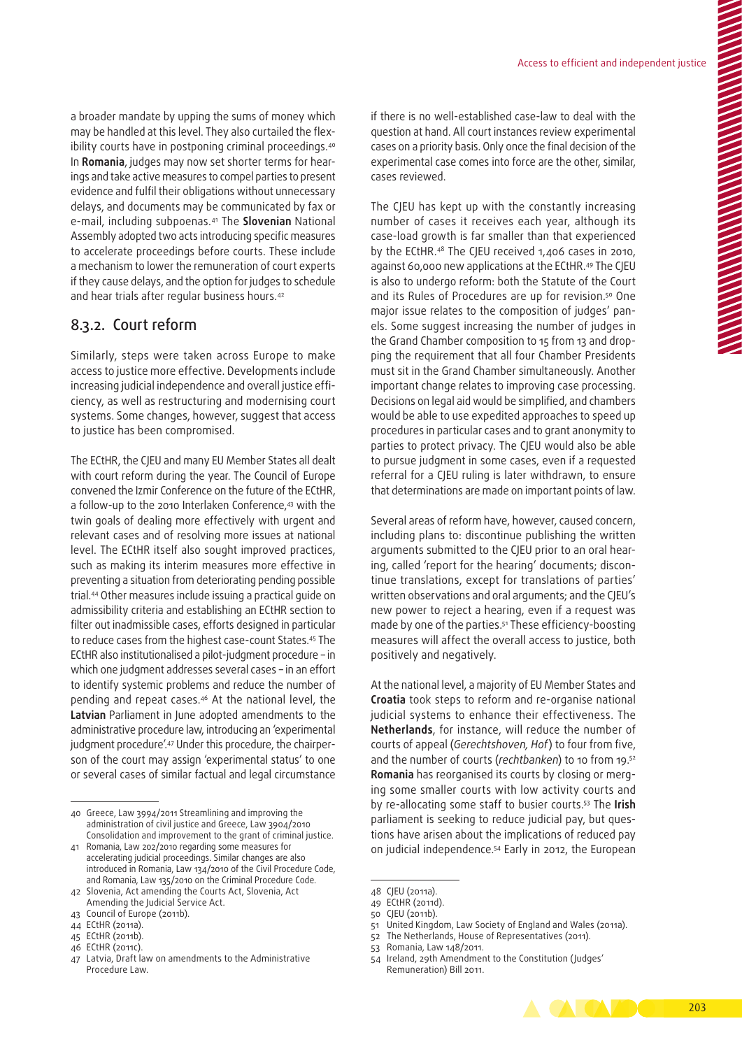a broader mandate by upping the sums of money which may be handled at this level. They also curtailed the flexibility courts have in postponing criminal proceedings.40 In **Romania**, judges may now set shorter terms for hearings and take active measures to compel parties to present evidence and fulfil their obligations without unnecessary delays, and documents may be communicated by fax or e‑mail, including subpoenas.41 The **Slovenian** National Assembly adopted two acts introducing specific measures to accelerate proceedings before courts. These include a mechanism to lower the remuneration of court experts if they cause delays, and the option for judges to schedule and hear trials after regular business hours.42

# 8.3.2. Court reform

Similarly, steps were taken across Europe to make access to justice more effective. Developments include increasing judicial independence and overall justice efficiency, as well as restructuring and modernising court systems. Some changes, however, suggest that access to justice has been compromised.

The ECtHR, the CJEU and many EU Member States all dealt with court reform during the year. The Council of Europe convened the Izmir Conference on the future of the ECtHR, a follow-up to the 2010 Interlaken Conference,<sup>43</sup> with the twin goals of dealing more effectively with urgent and relevant cases and of resolving more issues at national level. The ECtHR itself also sought improved practices, such as making its interim measures more effective in preventing a situation from deteriorating pending possible trial.44 Other measures include issuing a practical guide on admissibility criteria and establishing an ECtHR section to filter out inadmissible cases, efforts designed in particular to reduce cases from the highest case‑count States.45 The ECtHR also institutionalised a pilot‑judgment procedure – in which one judgment addresses several cases – in an effort to identify systemic problems and reduce the number of pending and repeat cases.46 At the national level, the **Latvian** Parliament in June adopted amendments to the administrative procedure law, introducing an 'experimental judgment procedure'.47 Under this procedure, the chairperson of the court may assign 'experimental status' to one or several cases of similar factual and legal circumstance

45 ECtHR (2011b).

if there is no well-established case-law to deal with the question at hand. All court instances review experimental cases on a priority basis. Only once the final decision of the experimental case comes into force are the other, similar, cases reviewed.

The CJEU has kept up with the constantly increasing number of cases it receives each year, although its case‑load growth is far smaller than that experienced by the ECtHR.48 The CJEU received 1,406 cases in 2010, against 60,000 new applications at the ECtHR.49 The CJEU is also to undergo reform: both the Statute of the Court and its Rules of Procedures are up for revision.<sup>50</sup> One major issue relates to the composition of judges' panels. Some suggest increasing the number of judges in the Grand Chamber composition to 15 from 13 and dropping the requirement that all four Chamber Presidents must sit in the Grand Chamber simultaneously. Another important change relates to improving case processing. Decisions on legal aid would be simplified, and chambers would be able to use expedited approaches to speed up procedures in particular cases and to grant anonymity to parties to protect privacy. The CJEU would also be able to pursue judgment in some cases, even if a requested referral for a CJEU ruling is later withdrawn, to ensure that determinations are made on important points of law.

Several areas of reform have, however, caused concern, including plans to: discontinue publishing the written arguments submitted to the CJEU prior to an oral hearing, called 'report for the hearing' documents; discontinue translations, except for translations of parties' written observations and oral arguments; and the CJEU's new power to reject a hearing, even if a request was made by one of the parties.<sup>51</sup> These efficiency-boosting measures will affect the overall access to justice, both positively and negatively.

At the national level, a majority of EU Member States and **Croatia** took steps to reform and re‑organise national judicial systems to enhance their effectiveness. The **Netherlands**, for instance, will reduce the number of courts of appeal (*Gerechtshoven, Hof*) to four from five, and the number of courts (*rechtbanken*) to 10 from 19.52 **Romania** has reorganised its courts by closing or merg‑ ing some smaller courts with low activity courts and by re‑allocating some staff to busier courts.53 The **Irish** parliament is seeking to reduce judicial pay, but questions have arisen about the implications of reduced pay on judicial independence.54 Early in 2012, the European

51 United Kingdom, Law Society of England and Wales (2011a).

<sup>54</sup> Ireland, 29th Amendment to the Constitution (Judges' Remuneration) Bill 2011.



<sup>40</sup> Greece, Law 3994/2011 Streamlining and improving the administration of civil justice and Greece, Law 3904/2010 Consolidation and improvement to the grant of criminal justice.

<sup>41</sup> Romania, Law 202/2010 regarding some measures for accelerating judicial proceedings. Similar changes are also introduced in Romania, Law 134/2010 of the Civil Procedure Code, and Romania, Law 135/2010 on the Criminal Procedure Code.

<sup>42</sup> Slovenia, Act amending the Courts Act, Slovenia, Act Amending the Judicial Service Act.

<sup>43</sup> Council of Europe (2011b).

<sup>44</sup> ECtHR (2011a).

<sup>46</sup> ECtHR (2011c).

<sup>47</sup> Latvia, Draft law on amendments to the Administrative Procedure Law.

<sup>48</sup> CJEU (2011a).

<sup>49</sup> ECtHR (2011d).

<sup>50</sup> CJEU (2011b).

<sup>52</sup> The Netherlands, House of Representatives (2011).

<sup>53</sup> Romania, Law 148/2011.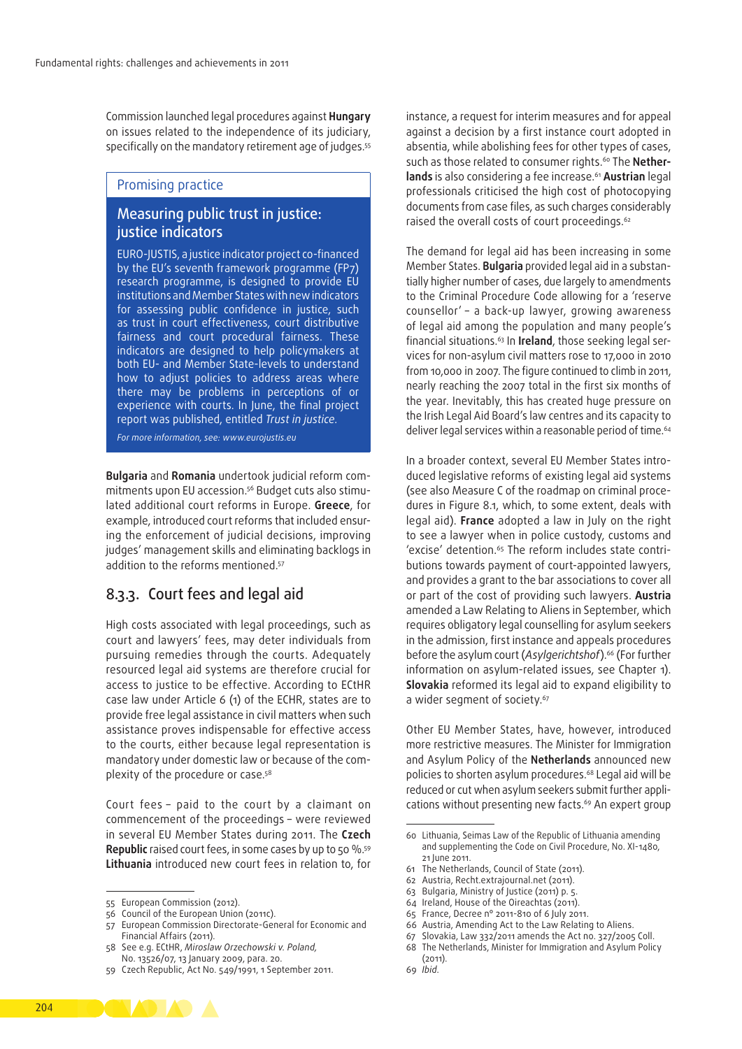Commission launched legal procedures against **Hungary** on issues related to the independence of its judiciary, specifically on the mandatory retirement age of judges.<sup>55</sup>

# Promising practice

# Measuring public trust in justice: justice indicators

EURO‑JUSTIS, a justice indicator project co‑financed by the EU's seventh framework programme (FP7) research programme, is designed to provide EU institutions and Member States with new indicators for assessing public confidence in justice, such as trust in court effectiveness, court distributive fairness and court procedural fairness. These indicators are designed to help policymakers at both EU- and Member State‑levels to understand how to adjust policies to address areas where there may be problems in perceptions of or experience with courts. In June, the final project report was published, entitled *Trust in justice*.

*For more information, see: [www.eurojustis.eu](http://www.eurojustis.eu/)*

**Bulgaria** and **Romania** undertook judicial reform com‑ mitments upon EU accession.<sup>56</sup> Budget cuts also stimulated additional court reforms in Europe. **Greece**, for example, introduced court reforms that included ensuring the enforcement of judicial decisions, improving judges' management skills and eliminating backlogs in addition to the reforms mentioned.<sup>57</sup>

# 8.3.3. Court fees and legal aid

High costs associated with legal proceedings, such as court and lawyers' fees, may deter individuals from pursuing remedies through the courts. Adequately resourced legal aid systems are therefore crucial for access to justice to be effective. According to ECtHR case law under Article 6 (1) of the ECHR, states are to provide free legal assistance in civil matters when such assistance proves indispensable for effective access to the courts, either because legal representation is mandatory under domestic law or because of the complexity of the procedure or case.58

Court fees – paid to the court by a claimant on commencement of the proceedings – were reviewed in several EU Member States during 2011. The **Czech**  Republic raised court fees, in some cases by up to 50 %.<sup>59</sup> **Lithuania** introduced new court fees in relation to, for

instance, a request for interim measures and for appeal against a decision by a first instance court adopted in absentia, while abolishing fees for other types of cases, such as those related to consumer rights.<sup>60</sup> The **Nether**lands is also considering a fee increase.<sup>61</sup> Austrian legal professionals criticised the high cost of photocopying documents from case files, as such charges considerably raised the overall costs of court proceedings.<sup>62</sup>

The demand for legal aid has been increasing in some Member States. **Bulgaria** provided legal aid in a substan‑ tially higher number of cases, due largely to amendments to the Criminal Procedure Code allowing for a 'reserve counsellor' – a back‑up lawyer, growing awareness of legal aid among the population and many people's financial situations.<sup>63</sup> In Ireland, those seeking legal services for non‑asylum civil matters rose to 17,000 in 2010 from 10,000 in 2007. The figure continued to climb in 2011, nearly reaching the 2007 total in the first six months of the year. Inevitably, this has created huge pressure on the Irish Legal Aid Board's law centres and its capacity to deliver legal services within a reasonable period of time.<sup>64</sup>

In a broader context, several EU Member States introduced legislative reforms of existing legal aid systems (see also Measure C of the roadmap on criminal proce‑ dures in Figure 8.1, which, to some extent, deals with legal aid). **France** adopted a law in July on the right to see a lawyer when in police custody, customs and 'excise' detention.<sup>65</sup> The reform includes state contributions towards payment of court‑appointed lawyers, and provides a grant to the bar associations to cover all or part of the cost of providing such lawyers. **Austria** amended a Law Relating to Aliens in September, which requires obligatory legal counselling for asylum seekers in the admission, first instance and appeals procedures before the asylum court (*Asylgerichtshof*).66 (For further information on asylum-related issues, see Chapter 1). **Slovakia** reformed its legal aid to expand eligibility to a wider segment of society.<sup>67</sup>

Other EU Member States, have, however, introduced more restrictive measures. The Minister for Immigration and Asylum Policy of the **Netherlands** announced new policies to shorten asylum procedures.68 Legal aid will be reduced or cut when asylum seekers submit further applications without presenting new facts.<sup>69</sup> An expert group

- 62 Austria, Recht.extrajournal.net (2011).
- 63 Bulgaria, Ministry of Justice (2011) p. 5.
- 64 Ireland, House of the Oireachtas (2011).
- 65 France, Decree n° 2011-810 of 6 July 2011.
- 
- 66 Austria, Amending Act to the Law Relating to Aliens.
- 67 Slovakia, Law 332/2011 amends the Act no. 327/2005 Coll. 68 The Netherlands, Minister for Immigration and Asylum Policy (2011).
- 69 *Ibid*.

<sup>55</sup> European Commission (2012).

<sup>56</sup> Council of the European Union (2011c).

<sup>57</sup> European Commission Directorate‑General for Economic and Financial Affairs (2011).

<sup>58</sup> See e.g. ECtHR, *Miroslaw Orzechowski v. Poland,*  No. 13526/07, 13 January 2009, para. 20.

<sup>59</sup> Czech Republic, Act No. 549/1991, 1 September 2011.

<sup>60</sup> Lithuania, Seimas Law of the Republic of Lithuania amending and supplementing the Code on Civil Procedure, No. XI-1480, 21 June 2011.

<sup>61</sup> The Netherlands, Council of State (2011).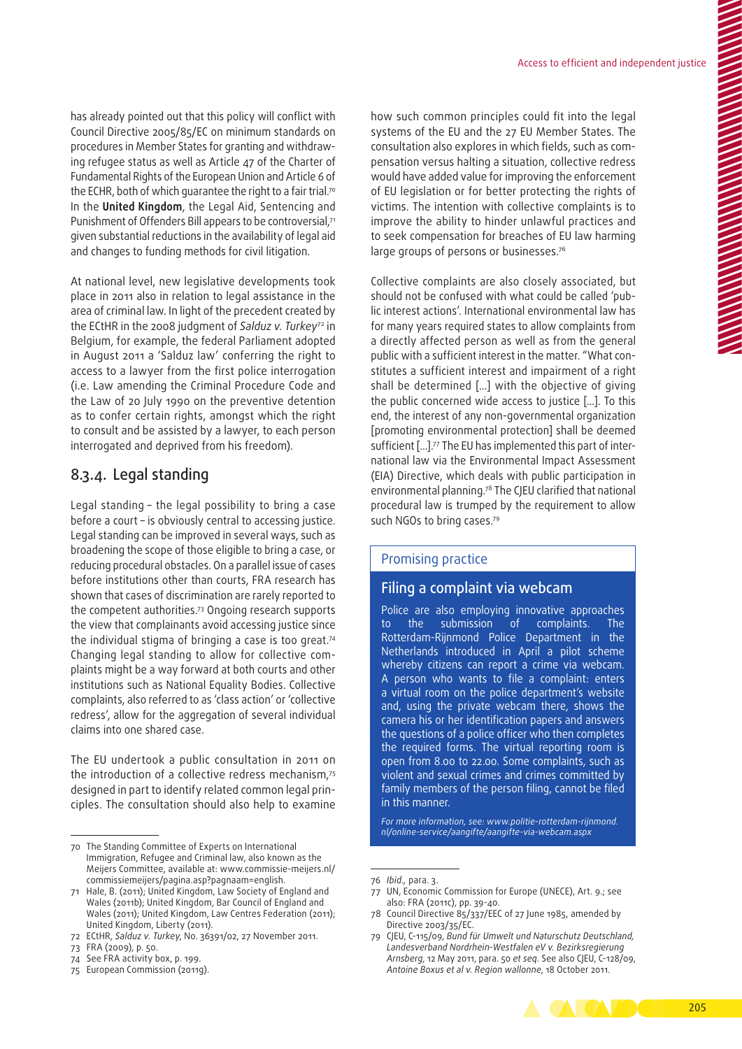has already pointed out that this policy will conflict with Council Directive 2005/85/EC on minimum standards on procedures in Member States for granting and withdraw‑ ing refugee status as well as Article 47 of the Charter of Fundamental Rights of the European Union and Article 6 of the ECHR, both of which quarantee the right to a fair trial.<sup>70</sup> In the **United Kingdom**, the Legal Aid, Sentencing and Punishment of Offenders Bill appears to be controversial.<sup>71</sup> given substantial reductions in the availability of legal aid and changes to funding methods for civil litigation.

At national level, new legislative developments took place in 2011 also in relation to legal assistance in the area of criminal law. In light of the precedent created by the ECtHR in the 2008 judgment of *Salduz v. Turkey*72 in Belgium, for example, the federal Parliament adopted in August 2011 a 'Salduz law' conferring the right to access to a lawyer from the first police interrogation (i.e. Law amending the Criminal Procedure Code and the Law of 20 July 1990 on the preventive detention as to confer certain rights, amongst which the right to consult and be assisted by a lawyer, to each person interrogated and deprived from his freedom).

# 8.3.4. Legal standing

Legal standing – the legal possibility to bring a case before a court – is obviously central to accessing justice. Legal standing can be improved in several ways, such as broadening the scope of those eligible to bring a case, or reducing procedural obstacles. On a parallel issue of cases before institutions other than courts, FRA research has shown that cases of discrimination are rarely reported to the competent authorities.73 Ongoing research supports the view that complainants avoid accessing justice since the individual stigma of bringing a case is too great.74 Changing legal standing to allow for collective complaints might be a way forward at both courts and other institutions such as National Equality Bodies. Collective complaints, also referred to as 'class action' or 'collective redress', allow for the aggregation of several individual claims into one shared case.

The EU undertook a public consultation in 2011 on the introduction of a collective redress mechanism,75 designed in part to identify related common legal principles. The consultation should also help to examine

how such common principles could fit into the legal systems of the EU and the 27 EU Member States. The consultation also explores in which fields, such as com‑ pensation versus halting a situation, collective redress would have added value for improving the enforcement of EU legislation or for better protecting the rights of victims. The intention with collective complaints is to improve the ability to hinder unlawful practices and to seek compensation for breaches of EU law harming large groups of persons or businesses.76

Collective complaints are also closely associated, but should not be confused with what could be called 'pub‑ lic interest actions'. International environmental law has for many years required states to allow complaints from a directly affected person as well as from the general public with a sufficient interest in the matter. "What constitutes a sufficient interest and impairment of a right shall be determined […] with the objective of giving the public concerned wide access to justice […]. To this end, the interest of any non‑governmental organization [promoting environmental protection] shall be deemed sufficient [...].<sup>77</sup> The EU has implemented this part of international law via the Environmental Impact Assessment (EIA) Directive, which deals with public participation in environmental planning.78 The CJEU clarified that national procedural law is trumped by the requirement to allow such NGOs to bring cases.<sup>79</sup>

#### Promising practice

## Filing a complaint via webcam

Police are also employing innovative approaches to the submission of complaints. The Rotterdam‑Rijnmond Police Department in the Netherlands introduced in April a pilot scheme whereby citizens can report a crime via webcam. A person who wants to file a complaint: enters a virtual room on the police department's website and, using the private webcam there, shows the camera his or her identification papers and answers the questions of a police officer who then completes the required forms. The virtual reporting room is open from 8.00 to 22.00. Some complaints, such as violent and sexual crimes and crimes committed by family members of the person filing, cannot be filed in this manner.

*For more information, see: [www.politie‑rotterdam‑rijnmond.](http://www.politie-rotterdam-rijnmond.nl/online-service/aangifte/aangifte-via-webcam.aspx) [nl/online‑service/aangifte/aangifte‑via‑webcam.aspx](http://www.politie-rotterdam-rijnmond.nl/online-service/aangifte/aangifte-via-webcam.aspx)*

<sup>70</sup> The Standing Committee of Experts on International Immigration, Refugee and Criminal law, also known as the Meijers Committee, available at: [www.commissie‑meijers.nl/](http://www.commissie-meijers.nl/commissiemeijers/pagina.asp?pagnaam=english) [commissiemeijers/pagina.asp?pagnaam=english](http://www.commissie-meijers.nl/commissiemeijers/pagina.asp?pagnaam=english).

<sup>71</sup> Hale, B. (2011); United Kingdom, Law Society of England and Wales (2011b); United Kingdom, Bar Council of England and Wales (2011); United Kingdom, Law Centres Federation (2011); United Kingdom, Liberty (2011).

<sup>72</sup> ECtHR, *Salduz v. Turkey*, No. 36391/02, 27 November 2011.

<sup>73</sup> FRA (2009), p. 50.

<sup>74</sup> See FRA activity box, p. 199.

<sup>75</sup> European Commission (2011g).

<sup>76</sup> *Ibid.,* para. 3.

<sup>77</sup> UN, Economic Commission for Europe (UNECE), Art. 9.; see also: FRA (2011c), pp. 39-40.

<sup>78</sup> Council Directive 85/337/EEC of 27 June 1985, amended by Directive 2003/35/EC.

<sup>79</sup> CJEU, C-115/09, *Bund für Umwelt und Naturschutz Deutschland, Landesverband Nordrhein‑Westfalen eV v. Bezirksregierung Arnsberg*, 12 May 2011, para. 50 *et seq.* See also CJEU, C-128/09, *Antoine Boxus et al v. Region wallonne*, 18 October 2011.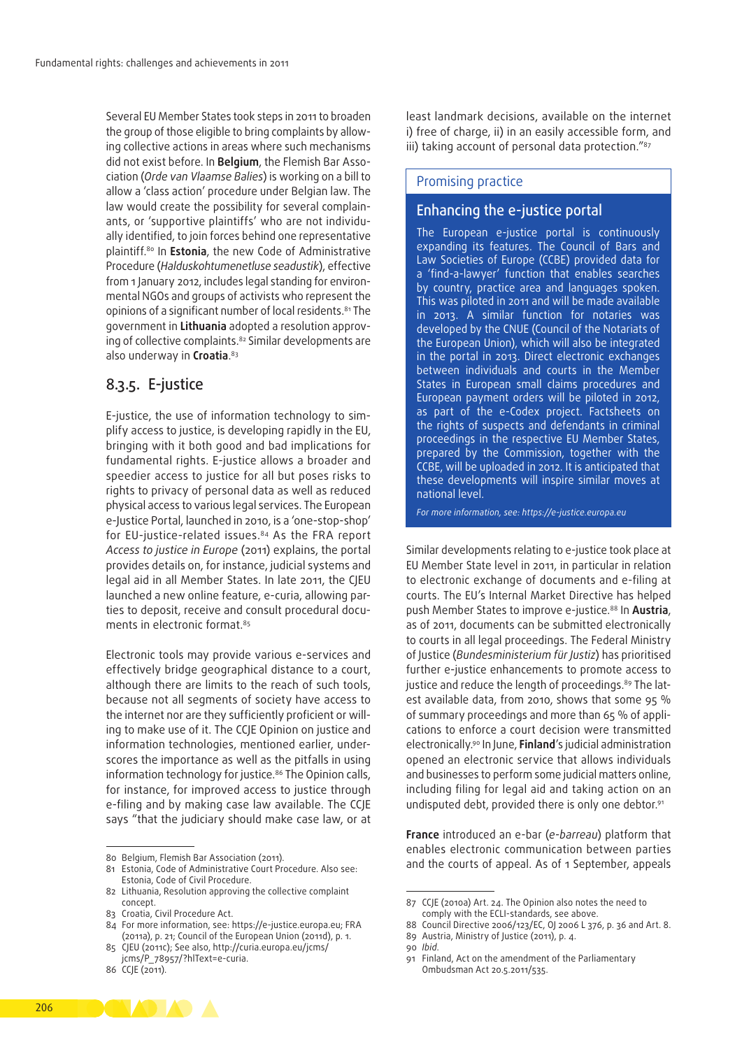Several EU Member States took steps in 2011 to broaden the group of those eligible to bring complaints by allowing collective actions in areas where such mechanisms did not exist before. In **Belgium**, the Flemish Bar Association (*Orde van Vlaamse Balies*) is working on a bill to allow a 'class action' procedure under Belgian law. The law would create the possibility for several complainants, or 'supportive plaintiffs' who are not individually identified, to join forces behind one representative plaintiff.80 In **Estonia**, the new Code of Administrative Procedure (*Halduskohtumenetluse seadustik*), effective from 1 January 2012, includes legal standing for environmental NGOs and groups of activists who represent the opinions of a significant number of local residents.<sup>81</sup> The government in Lithuania adopted a resolution approving of collective complaints.<sup>82</sup> Similar developments are also underway in **Croatia**. 83

# 8.3.5. E‑justice

E-justice, the use of information technology to simplify access to justice, is developing rapidly in the EU, bringing with it both good and bad implications for fundamental rights. E‑justice allows a broader and speedier access to justice for all but poses risks to rights to privacy of personal data as well as reduced physical access to various legal services. The European e‑Justice Portal, launched in 2010, is a 'one‑stop‑shop' for EU-justice-related issues.<sup>84</sup> As the FRA report *Access to justice in Europe* (2011) explains, the portal provides details on, for instance, judicial systems and legal aid in all Member States. In late 2011, the CJEU launched a new online feature, e-curia, allowing parties to deposit, receive and consult procedural documents in electronic format.<sup>85</sup>

Electronic tools may provide various e‑services and effectively bridge geographical distance to a court, although there are limits to the reach of such tools, because not all segments of society have access to the internet nor are they sufficiently proficient or willing to make use of it. The CCJE Opinion on justice and information technologies, mentioned earlier, underscores the importance as well as the pitfalls in using information technology for justice.<sup>86</sup> The Opinion calls, for instance, for improved access to justice through e-filing and by making case law available. The CCJE says "that the judiciary should make case law, or at

86 CCJE (2011).

least landmark decisions, available on the internet i) free of charge, ii) in an easily accessible form, and iii) taking account of personal data protection."<sup>87</sup>

#### Promising practice

# Enhancing the e‑justice portal

The European e-justice portal is continuously expanding its features. The Council of Bars and Law Societies of Europe (CCBE) provided data for a 'find-a-lawyer' function that enables searches by country, practice area and languages spoken. This was piloted in 2011 and will be made available in 2013. A similar function for notaries was developed by the CNUE (Council of the Notariats of the European Union), which will also be integrated in the portal in 2013. Direct electronic exchanges between individuals and courts in the Member States in European small claims procedures and European payment orders will be piloted in 2012, as part of the e-Codex project. Factsheets on the rights of suspects and defendants in criminal proceedings in the respective EU Member States, prepared by the Commission, together with the CCBE, will be uploaded in 2012. It is anticipated that these developments will inspire similar moves at national level.

*For more information, see: [https://e‑justice.europa.eu](https://e-justice.europa.eu)*

Similar developments relating to e‑justice took place at EU Member State level in 2011, in particular in relation to electronic exchange of documents and e-filing at courts. The EU's Internal Market Directive has helped push Member States to improve e‑justice.88 In **Austria**, as of 2011, documents can be submitted electronically to courts in all legal proceedings. The Federal Ministry of Justice (*Bundesministerium für Justiz*) has prioritised further e‑justice enhancements to promote access to justice and reduce the length of proceedings.<sup>89</sup> The latest available data, from 2010, shows that some 95 % of summary proceedings and more than 65 % of appli‑ cations to enforce a court decision were transmitted electronically.90 In June, **Finland**'s judicial administration opened an electronic service that allows individuals and businesses to perform some judicial matters online, including filing for legal aid and taking action on an undisputed debt, provided there is only one debtor.<sup>91</sup>

**France** introduced an e‑bar (*e‑barreau*) platform that enables electronic communication between parties and the courts of appeal. As of 1 September, appeals

<sup>80</sup> Belgium, Flemish Bar Association (2011).

<sup>81</sup> Estonia, Code of Administrative Court Procedure. Also see: Estonia, Code of Civil Procedure.

<sup>82</sup> Lithuania, Resolution approving the collective complaint concept.

<sup>83</sup> Croatia, Civil Procedure Act.

<sup>84</sup> For more information, see: https://e-justice.europa.eu; FRA (2011a), p. 21; Council of the European Union (2011d), p. 1.

<sup>85</sup> CJEU (2011c); See also, [http://curia.europa.eu/jcms/](http://curia.europa.eu/jcms/jcms/P_78957/?hlText=e-curia)

[jcms/P\\_78957/?hlText=e‑curia.](http://curia.europa.eu/jcms/jcms/P_78957/?hlText=e-curia)

<sup>87</sup> CCJE (2010a) Art. 24. The Opinion also notes the need to comply with the ECLI-standards, see above.

<sup>88</sup> Council Directive 2006/123/EC, OJ 2006 L 376, p. 36 and Art. 8. 89 Austria, Ministry of Justice (2011), p. 4.

<sup>90</sup> *Ibid*.

<sup>91</sup> Finland, Act on the amendment of the Parliamentary Ombudsman Act 20.5.2011/535.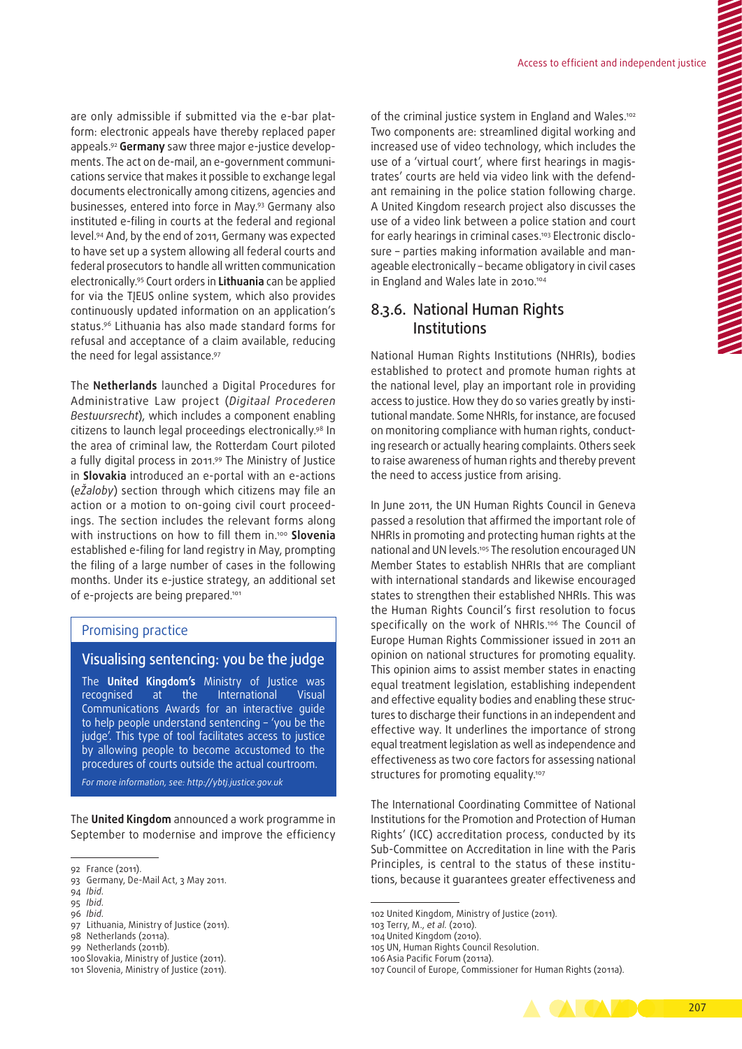are only admissible if submitted via the e-bar platform: electronic appeals have thereby replaced paper appeals.<sup>92</sup> Germany saw three major e-justice developments. The act on de-mail, an e-government communications service that makes it possible to exchange legal documents electronically among citizens, agencies and businesses, entered into force in May.93 Germany also instituted e-filing in courts at the federal and regional level.94 And, by the end of 2011, Germany was expected to have set up a system allowing all federal courts and federal prosecutors to handle all written communication electronically.95 Court orders in **Lithuania** can be applied for via the TĮEUS online system, which also provides continuously updated information on an application's status.96 Lithuania has also made standard forms for refusal and acceptance of a claim available, reducing the need for legal assistance.97

The **Netherlands** launched a Digital Procedures for Administrative Law project (*Digitaal Procederen Bestuursrecht*), which includes a component enabling citizens to launch legal proceedings electronically.98 In the area of criminal law, the Rotterdam Court piloted a fully digital process in 2011.99 The Ministry of Justice in **Slovakia** introduced an e‑portal with an e‑actions (*eŽaloby*) section through which citizens may file an action or a motion to on-going civil court proceedings. The section includes the relevant forms along with instructions on how to fill them in.100 **Slovenia**  established e-filing for land registry in May, prompting the filing of a large number of cases in the following months. Under its e‑justice strategy, an additional set of e-projects are being prepared.<sup>101</sup>

#### Promising practice

#### Visualising sentencing: you be the judge

The **United Kingdom's** Ministry of Justice was recognised at the International Visual Communications Awards for an interactive guide to help people understand sentencing – 'you be the judge'. This type of tool facilitates access to justice by allowing people to become accustomed to the procedures of courts outside the actual courtroom.

*For more information, see: [http://ybtj.justice.gov.uk](http://ybtj.justice.gov.uk/%20)*

The **United Kingdom** announced a work programme in September to modernise and improve the efficiency

95 *Ibid*.

of the criminal justice system in England and Wales.<sup>102</sup> Two components are: streamlined digital working and increased use of video technology, which includes the use of a 'virtual court', where first hearings in magistrates' courts are held via video link with the defendant remaining in the police station following charge. A United Kingdom research project also discusses the use of a video link between a police station and court for early hearings in criminal cases.<sup>103</sup> Electronic disclosure - parties making information available and manageable electronically – became obligatory in civil cases in England and Wales late in 2010.<sup>104</sup>

# 8.3.6. National Human Rights Institutions

National Human Rights Institutions (NHRIs), bodies established to protect and promote human rights at the national level, play an important role in providing access to justice. How they do so varies greatly by institutional mandate. Some NHRIs, for instance, are focused on monitoring compliance with human rights, conducting research or actually hearing complaints. Others seek to raise awareness of human rights and thereby prevent the need to access justice from arising.

In June 2011, the UN Human Rights Council in Geneva passed a resolution that affirmed the important role of NHRIs in promoting and protecting human rights at the national and UN levels.<sup>105</sup> The resolution encouraged UN Member States to establish NHRIs that are compliant with international standards and likewise encouraged states to strengthen their established NHRIs. This was the Human Rights Council's first resolution to focus specifically on the work of NHRIs.<sup>106</sup> The Council of Europe Human Rights Commissioner issued in 2011 an opinion on national structures for promoting equality. This opinion aims to assist member states in enacting equal treatment legislation, establishing independent and effective equality bodies and enabling these structures to discharge their functions in an independent and effective way. It underlines the importance of strong equal treatment legislation as well as independence and effectiveness as two core factors for assessing national structures for promoting equality.<sup>107</sup>

The International Coordinating Committee of National Institutions for the Promotion and Protection of Human Rights' (ICC) accreditation process, conducted by its Sub‑Committee on Accreditation in line with the Paris Principles, is central to the status of these institutions, because it guarantees greater effectiveness and

105 UN, Human Rights Council Resolution.

<sup>107</sup> Council of Europe, Commissioner for Human Rights (2011a).



<sup>92</sup> France (2011).

<sup>93</sup> Germany, De‑Mail Act, 3 May 2011.

<sup>94</sup> *Ibid*.

<sup>96</sup> *Ibid*.

<sup>97</sup> Lithuania, Ministry of Justice (2011).

<sup>98</sup> Netherlands (2011a).

<sup>99</sup> Netherlands (2011b).

<sup>100</sup> Slovakia, Ministry of Justice (2011).

<sup>101</sup> Slovenia, Ministry of Justice (2011).

<sup>102</sup> United Kingdom, Ministry of Justice (2011).

<sup>103</sup> Terry, M., *et al.* (2010).

<sup>104</sup> United Kingdom (2010).

<sup>106</sup> Asia Pacific Forum (2011a).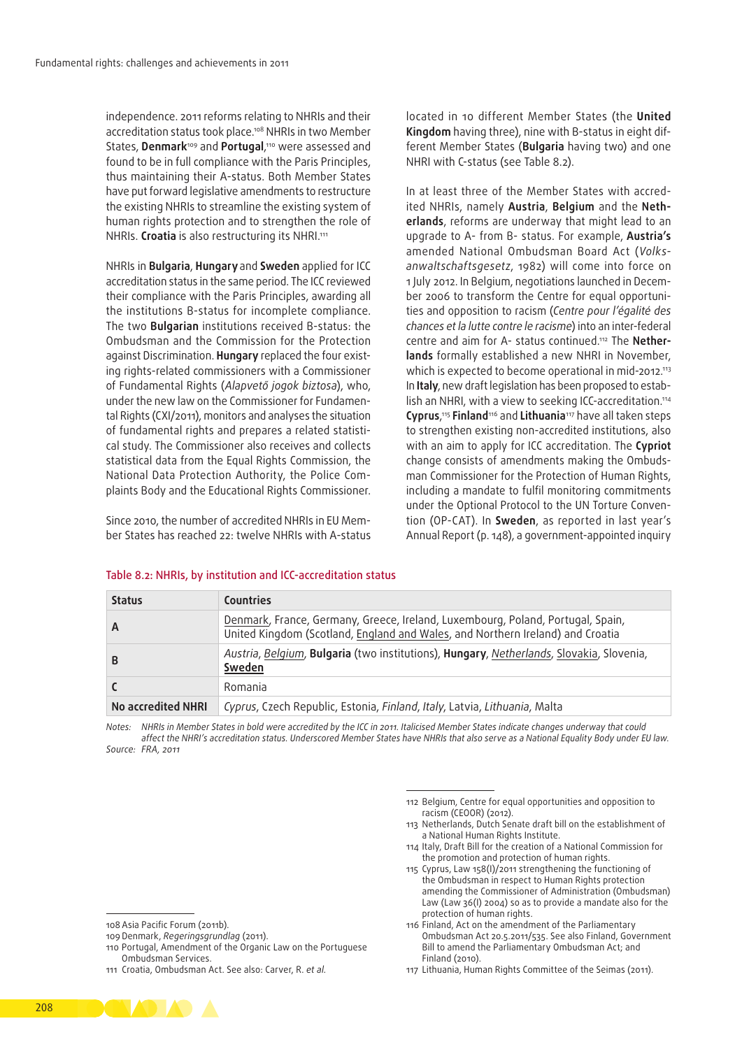independence. 2011 reforms relating to NHRIs and their accreditation status took place.108 NHRIs in two Member States, **Denmark**109 and **Portugal**, 110 were assessed and found to be in full compliance with the Paris Principles, thus maintaining their A‑status. Both Member States have put forward legislative amendments to restructure the existing NHRIs to streamline the existing system of human rights protection and to strengthen the role of NHRIs. **Croatia** is also restructuring its NHRI.111

NHRIs in **Bulgaria**, **Hungary**and **Sweden** applied for ICC accreditation status in the same period. The ICC reviewed their compliance with the Paris Principles, awarding all the institutions B‑status for incomplete compliance. The two **Bulgarian** institutions received B‑status: the Ombudsman and the Commission for the Protection against Discrimination. **Hungary** replaced the four existing rights‑related commissioners with a Commissioner of Fundamental Rights (*Alapvető jogok biztosa*), who, under the new law on the Commissioner for Fundamental Rights (CXI/2011), monitors and analyses the situation of fundamental rights and prepares a related statistical study. The Commissioner also receives and collects statistical data from the Equal Rights Commission, the National Data Protection Authority, the Police Complaints Body and the Educational Rights Commissioner.

Since 2010, the number of accredited NHRIs in EU Member States has reached 22: twelve NHRIs with A-status located in 10 different Member States (the **United Kingdom** having three), nine with B-status in eight different Member States (**Bulgaria** having two) and one NHRI with C‑status (see Table 8.2).

In at least three of the Member States with accredited NHRIs, namely **Austria**, **Belgium** and the **Neth‑ erlands**, reforms are underway that might lead to an upgrade to A‑ from B- status. For example, **Austria's**  amended National Ombudsman Board Act (*Volks‑ anwaltschaftsgesetz*, 1982) will come into force on 1 July 2012. In Belgium, negotiations launched in December 2006 to transform the Centre for equal opportunities and opposition to racism (*Centre pour l'égalité des chances et la lutte contre le racisme*) into an inter-federal centre and aim for A- status continued.112 The **Nether‑ lands** formally established a new NHRI in November, which is expected to become operational in mid-2012.113 In Italy, new draft legislation has been proposed to establish an NHRI, with a view to seeking ICC-accreditation.<sup>114</sup> **Cyprus**, <sup>115</sup> **Finland**116 and **Lithuania**117 have all taken steps to strengthen existing non‑accredited institutions, also with an aim to apply for ICC accreditation. The **Cypriot** change consists of amendments making the Ombuds‑ man Commissioner for the Protection of Human Rights, including a mandate to fulfil monitoring commitments under the Optional Protocol to the UN Torture Convention (OP‑CAT). In **Sweden**, as reported in last year's Annual Report (p. 148), a government‑appointed inquiry

| <b>Status</b>      | <b>Countries</b>                                                                                                                                                  |
|--------------------|-------------------------------------------------------------------------------------------------------------------------------------------------------------------|
| A                  | Denmark, France, Germany, Greece, Ireland, Luxembourg, Poland, Portugal, Spain,<br>United Kingdom (Scotland, England and Wales, and Northern Ireland) and Croatia |
| B                  | Austria, Belgium, Bulgaria (two institutions), Hungary, Netherlands, Slovakia, Slovenia,<br>Sweden                                                                |
|                    | Romania                                                                                                                                                           |
| No accredited NHRI | Cyprus, Czech Republic, Estonia, Finland, Italy, Latvia, Lithuania, Malta                                                                                         |

#### Table 8.2:  NHRIs, by institution and ICC‑accreditation status

*Notes: NHRIs in Member States in bold were accredited by the ICC in 2011. Italicised Member States indicate changes underway that could affect the NHRI's accreditation status. Underscored Member States have NHRIs that also serve as a National Equality Body under EU law. Source: FRA, 2011*

> 112 Belgium, Centre for equal opportunities and opposition to racism (CEOOR) (2012).

- 113 Netherlands, Dutch Senate draft bill on the establishment of a National Human Rights Institute.
- 114 Italy, Draft Bill for the creation of a National Commission for the promotion and protection of human rights.
- 115 Cyprus, Law 158(I)/2011 strengthening the functioning of the Ombudsman in respect to Human Rights protection amending the Commissioner of Administration (Ombudsman) Law (Law 36(I) 2004) so as to provide a mandate also for the protection of human rights.
- 116 Finland, Act on the amendment of the Parliamentary Ombudsman Act 20.5.2011/535. See also Finland, Government Bill to amend the Parliamentary Ombudsman Act; and Finland (2010).
- 117 Lithuania, Human Rights Committee of the Seimas (2011).
- 108 Asia Pacific Forum (2011b).
- 109 Denmark, *Regeringsgrundlag* (2011).
- 110 Portugal, Amendment of the Organic Law on the Portuguese Ombudsman Services.
- 111 Croatia, Ombudsman Act. See also: Carver, R. *et al.*

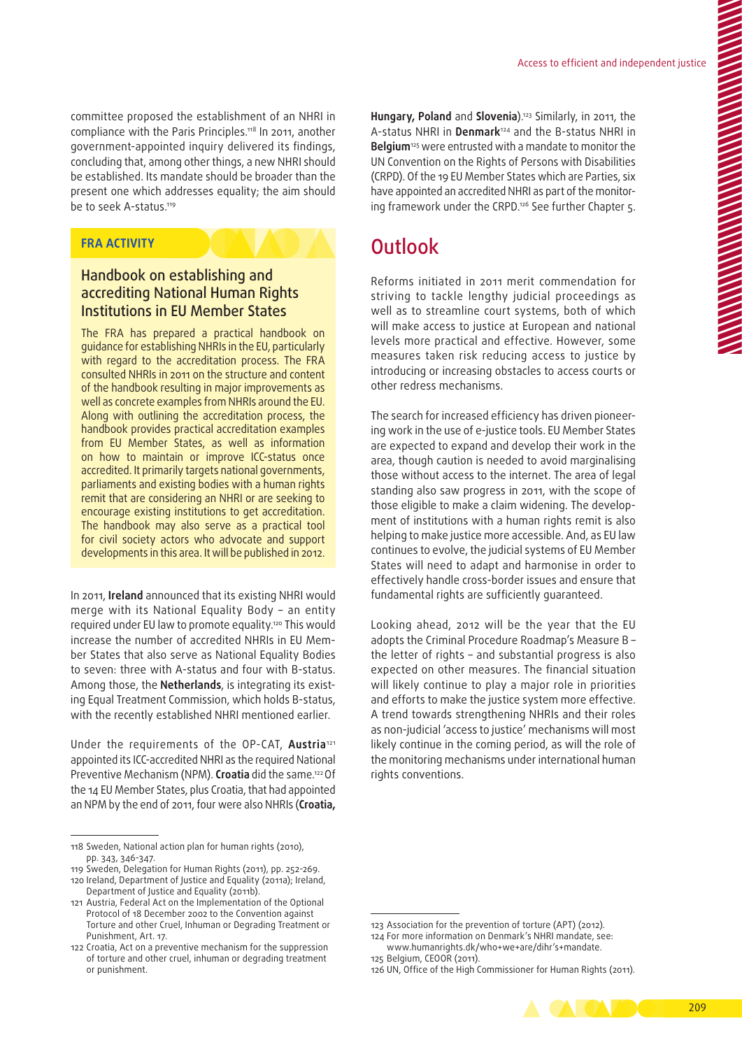committee proposed the establishment of an NHRI in compliance with the Paris Principles.118 In 2011, another government‑appointed inquiry delivered its findings, concluding that, among other things, a new NHRI should be established. Its mandate should be broader than the present one which addresses equality; the aim should be to seek A-status.<sup>119</sup>

# **FRA ACTIVITY**

# Handbook on establishing and accrediting National Human Rights Institutions in EU Member States

The FRA has prepared a practical handbook on guidance for establishing NHRIs in the EU, particularly with regard to the accreditation process. The FRA consulted NHRIs in 2011 on the structure and content of the handbook resulting in major improvements as well as concrete examples from NHRIs around the EU. Along with outlining the accreditation process, the handbook provides practical accreditation examples from EU Member States, as well as information on how to maintain or improve ICC‑status once accredited. It primarily targets national governments, parliaments and existing bodies with a human rights remit that are considering an NHRI or are seeking to encourage existing institutions to get accreditation. The handbook may also serve as a practical tool for civil society actors who advocate and support developments in this area. It will be published in 2012.

In 2011, **Ireland** announced that its existing NHRI would merge with its National Equality Body – an entity required under EU law to promote equality.120 This would increase the number of accredited NHRIs in EU Member States that also serve as National Equality Bodies to seven: three with A-status and four with B-status. Among those, the **Netherlands**, is integrating its existing Equal Treatment Commission, which holds B‑status, with the recently established NHRI mentioned earlier.

Under the requirements of the OP‑CAT, **Austria**<sup>121</sup> appointed its ICC‑accredited NHRI as the required National Preventive Mechanism (NPM). **Croatia** did the same.122 Of the 14 EU Member States, plus Croatia, that had appointed an NPM by the end of 2011, four were also NHRIs (**Croatia,**

**Hungary, Poland** and **Slovenia**).123 Similarly, in 2011, the A‑status NHRI in **Denmark**124 and the B‑status NHRI in **Belgium**125 were entrusted with a mandate to monitor the UN Convention on the Rights of Persons with Disabilities (CRPD). Of the 19 EU Member States which are Parties, six have appointed an accredited NHRI as part of the monitoring framework under the CRPD.126 See further Chapter 5.

# **Outlook**

Reforms initiated in 2011 merit commendation for striving to tackle lengthy judicial proceedings as well as to streamline court systems, both of which will make access to justice at European and national levels more practical and effective. However, some measures taken risk reducing access to justice by introducing or increasing obstacles to access courts or other redress mechanisms.

The search for increased efficiency has driven pioneering work in the use of e‑justice tools. EU Member States are expected to expand and develop their work in the area, though caution is needed to avoid marginalising those without access to the internet. The area of legal standing also saw progress in 2011, with the scope of those eligible to make a claim widening. The development of institutions with a human rights remit is also helping to make justice more accessible. And, as EU law continues to evolve, the judicial systems of EU Member States will need to adapt and harmonise in order to effectively handle cross‑border issues and ensure that fundamental rights are sufficiently guaranteed.

Looking ahead, 2012 will be the year that the EU adopts the Criminal Procedure Roadmap's Measure B – the letter of rights – and substantial progress is also expected on other measures. The financial situation will likely continue to play a major role in priorities and efforts to make the justice system more effective. A trend towards strengthening NHRIs and their roles as non‑judicial 'access to justice' mechanisms will most likely continue in the coming period, as will the role of the monitoring mechanisms under international human rights conventions.

<sup>126</sup> UN, Office of the High Commissioner for Human Rights (2011).



<sup>118</sup> Sweden, National action plan for human rights (2010), pp. 343, 346-347.

<sup>119</sup> Sweden, Delegation for Human Rights (2011), pp. 252-269. 120 Ireland, Department of Justice and Equality (2011a); Ireland, Department of Justice and Equality (2011b).

<sup>121</sup> Austria, Federal Act on the Implementation of the Optional Protocol of 18 December 2002 to the Convention against Torture and other Cruel, Inhuman or Degrading Treatment or Punishment, Art. 17.

<sup>122</sup> Croatia, Act on a preventive mechanism for the suppression of torture and other cruel, inhuman or degrading treatment or punishment.

<sup>123</sup> Association for the prevention of torture (APT) (2012).

<sup>124</sup> For more information on Denmark's NHRI mandate, see: [www.humanrights.dk/who+we+are/dihr's+mandate](http://www.humanrights.dk/who+we+are/dihr�s+mandate).

<sup>125</sup> Belgium, CEOOR (2011).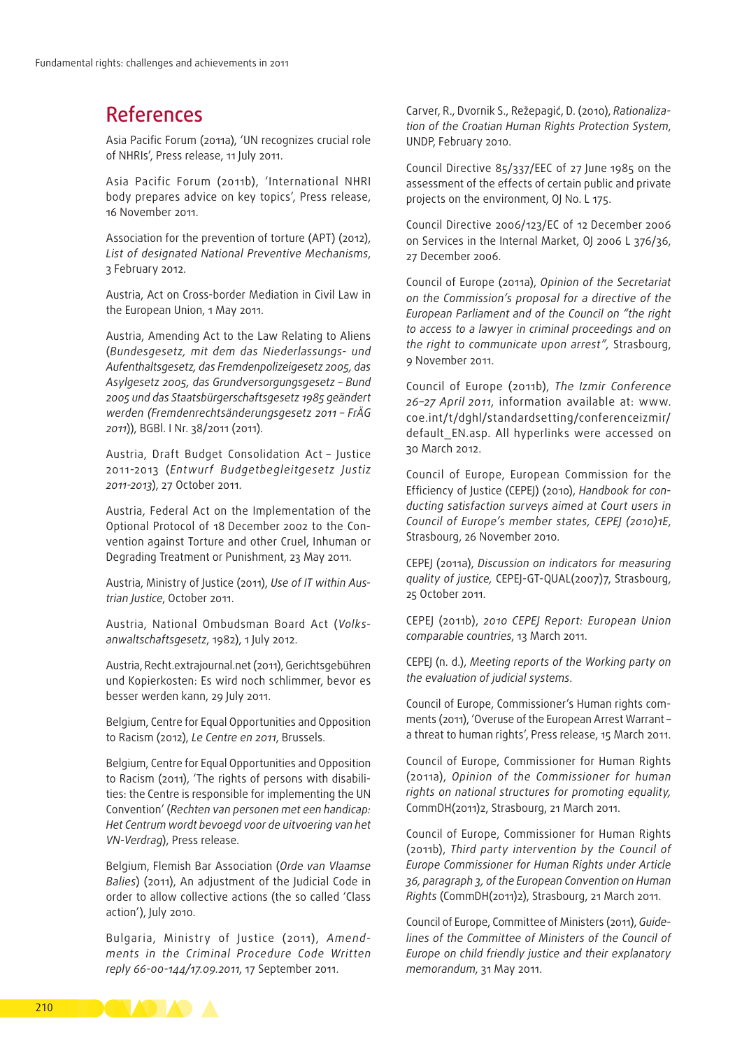# References

Asia Pacific Forum (2011a), 'UN recognizes crucial role of NHRIs', Press release, 11 July 2011.

Asia Pacific Forum (2011b), 'International NHRI body prepares advice on key topics', Press release, 16 November 2011.

Association for the prevention of torture (APT) (2012), *List of designated National Preventive Mechanisms*, 3 February 2012.

Austria, Act on Cross‑border Mediation in Civil Law in the European Union, 1 May 2011.

Austria, Amending Act to the Law Relating to Aliens (*Bundesgesetz, mit dem das Niederlassungs- und Aufenthaltsgesetz, das Fremdenpolizeigesetz 2005, das Asylgesetz 2005, das Grundversorgungsgesetz – Bund 2005 und das Staatsbürgerschaftsgesetz 1985 geändert werden (Fremdenrechtsänderungsgesetz 2011 – FrÄG 2011*)), BGBl. I Nr. 38/2011 (2011).

Austria, Draft Budget Consolidation Act – Justice 2011‑2013 (*Entwurf Budgetbegleitgesetz Justiz 2011‑2013*), 27 October 2011.

Austria, Federal Act on the Implementation of the Optional Protocol of 18 December 2002 to the Convention against Torture and other Cruel, Inhuman or Degrading Treatment or Punishment, 23 May 2011.

Austria, Ministry of Justice (2011), *Use of IT within Aus‑ trian Justice*, October 2011.

Austria, National Ombudsman Board Act (*Volks‑ anwaltschaftsgesetz*, 1982), 1 July 2012.

Austria, Recht.extrajournal.net (2011), Gerichtsgebühren und Kopierkosten: Es wird noch schlimmer, bevor es besser werden kann, 29 July 2011.

Belgium, Centre for Equal Opportunities and Opposition to Racism (2012), *Le Centre en 2011*, Brussels.

Belgium, Centre for Equal Opportunities and Opposition to Racism (2011), 'The rights of persons with disabilities: the Centre is responsible for implementing the UN Convention' (*Rechten van personen met een handicap: Het Centrum wordt bevoegd voor de uitvoering van het VN‑Verdrag*), Press release.

Belgium, Flemish Bar Association (*Orde van Vlaamse Balies*) (2011), An adjustment of the Judicial Code in order to allow collective actions (the so called 'Class action'), July 2010.

Bulgaria, Ministry of Justice (2011), *Amend‑ ments in the Criminal Procedure Code Written reply 66-00-144/17.09.2011*, 17 September 2011.

Carver, R., Dvornik S., Režepagić, D. (2010), *Rationaliza‑ tion of the Croatian Human Rights Protection System*, UNDP, February 2010.

Council Directive 85/337/EEC of 27 June 1985 on the assessment of the effects of certain public and private projects on the environment, OJ No. L 175.

Council Directive 2006/123/EC of 12 December 2006 on Services in the Internal Market, OJ 2006 L 376/36, 27 December 2006.

Council of Europe (2011a), *Opinion of the Secretariat on the Commission's proposal for a directive of the European Parliament and of the Council on "the right to access to a lawyer in criminal proceedings and on the right to communicate upon arrest",* Strasbourg, 9 November 2011.

Council of Europe (2011b), *The Izmir Conference 26–27 April 2011*, information available at: [www.](http://www.coe.int/t/dghl/standardsetting/conferenceizmir/default_EN.asp) [coe.int/t/dghl/standardsetting/conferenceizmir/](http://www.coe.int/t/dghl/standardsetting/conferenceizmir/default_EN.asp) default EN.asp. All hyperlinks were accessed on 30 March 2012.

Council of Europe, European Commission for the Efficiency of Justice (CEPEJ) (2010), *Handbook for con‑ ducting satisfaction surveys aimed at Court users in Council of Europe's member states, CEPEJ (2010)1E*, Strasbourg, 26 November 2010.

CEPEJ (2011a), *Discussion on indicators for measuring quality of justice,* CEPEJ‑GT‑QUAL(2007)7, Strasbourg, 25 October 2011.

CEPEJ (2011b), *2010 CEPEJ Report: European Union comparable countries*, 13 March 2011.

CEPEJ (n. d.), *Meeting reports of the Working party on the evaluation of judicial systems*.

Council of Europe, Commissioner's Human rights comments (2011), 'Overuse of the European Arrest Warrant – a threat to human rights', Press release, 15 March 2011.

Council of Europe, Commissioner for Human Rights (2011a), *Opinion of the Commissioner for human rights on national structures for promoting equality,* CommDH(2011)2, Strasbourg, 21 March 2011.

Council of Europe, Commissioner for Human Rights (2011b), *Third party intervention by the Council of Europe Commissioner for Human Rights under Article 36, paragraph 3, of the European Convention on Human Rights* (CommDH(2011)2), Strasbourg, 21 March 2011.

Council of Europe, Committee of Ministers (2011), *Guide‑ lines of the Committee of Ministers of the Council of Europe on child friendly justice and their explanatory memorandum*, 31 May 2011.

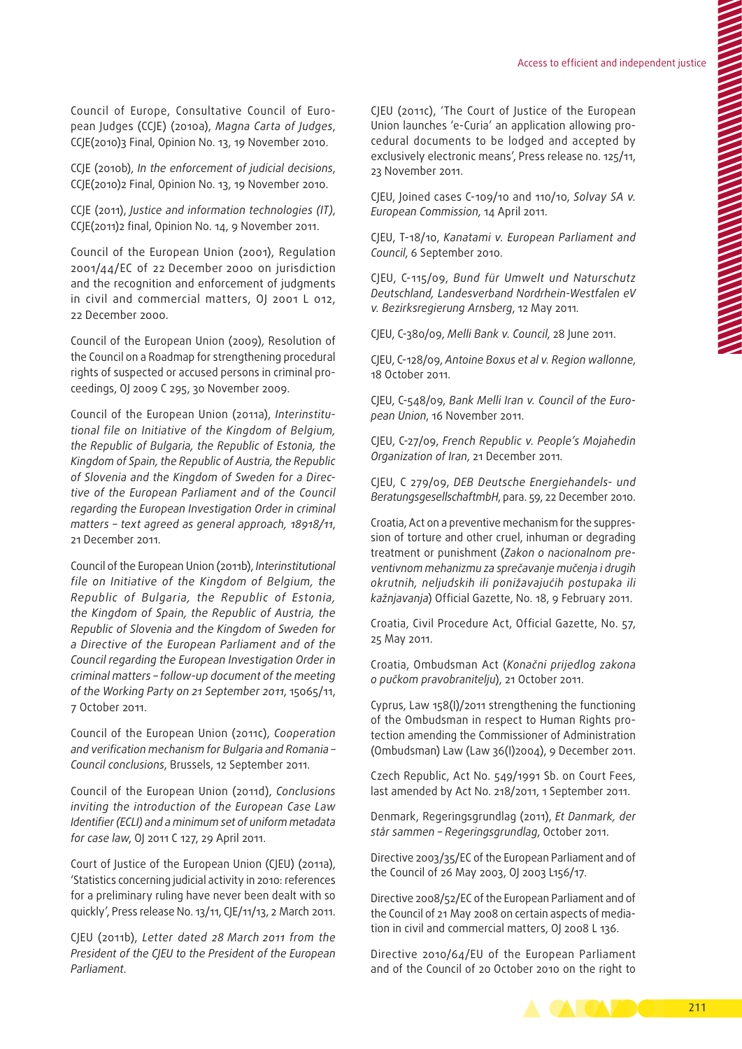Council of Europe, Consultative Council of European Judges (CCJE) (2010a), *Magna Carta of Judges*, CCJE(2010)3 Final, Opinion No. 13, 19 November 2010.

CCJE (2010b), *In the enforcement of judicial decisions*, CCJE(2010)2 Final, Opinion No. 13, 19 November 2010.

CCJE (2011), *Justice and information technologies (IT)*, CCJE(2011)2 final, Opinion No. 14, 9 November 2011.

Council of the European Union (2001), Regulation 2001/44/EC of 22 December 2000 on jurisdiction and the recognition and enforcement of judgments in civil and commercial matters, OJ 2001 L 012, 22 December 2000.

Council of the European Union (2009), Resolution of the Council on a Roadmap for strengthening procedural rights of suspected or accused persons in criminal proceedings, OJ 2009 C 295, 30 November 2009.

Council of the European Union (2011a), *Interinstitu‑ tional file on Initiative of the Kingdom of Belgium, the Republic of Bulgaria, the Republic of Estonia, the Kingdom of Spain, the Republic of Austria, the Republic of Slovenia and the Kingdom of Sweden for a Direc‑ tive of the European Parliament and of the Council regarding the European Investigation Order in criminal matters – text agreed as general approach, 18918/11*, 21 December 2011.

Council of the European Union (2011b), *Interinstitutional file on Initiative of the Kingdom of Belgium, the Republic of Bulgaria, the Republic of Estonia, the Kingdom of Spain, the Republic of Austria, the Republic of Slovenia and the Kingdom of Sweden for a Directive of the European Parliament and of the Council regarding the European Investigation Order in criminal matters – follow‑up document of the meeting of the Working Party on 21 September 2011*, 15065/11, 7 October 2011.

Council of the European Union (2011c), *Cooperation and verification mechanism for Bulgaria and Romania – Council conclusions*, Brussels, 12 September 2011.

Council of the European Union (2011d), *Conclusions inviting the introduction of the European Case Law Identifier (ECLI) and a minimum set of uniform metadata for case law*, OJ 2011 C 127, 29 April 2011.

Court of Justice of the European Union (CJEU) (2011a), 'Statistics concerning judicial activity in 2010: references for a preliminary ruling have never been dealt with so quickly', Press release No. 13/11, CJE/11/13, 2 March 2011.

CJEU (2011b), *Letter dated 28 March 2011 from the President of the CJEU to the President of the European Parliament*.

CJEU (2011c), 'The Court of Justice of the European Union launches 'e-Curia' an application allowing procedural documents to be lodged and accepted by exclusively electronic means', Press release no. 125/11, 23 November 2011.

CJEU, Joined cases C-109/10 and 110/10, *Solvay SA v. European Commission*, 14 April 2011.

CJEU, T-18/10, *Kanatami v. European Parliament and Council*, 6 September 2010.

CJEU, C-115/09, *Bund für Umwelt und Naturschutz Deutschland, Landesverband Nordrhein‑Westfalen eV v. Bezirksregierung Arnsberg*, 12 May 2011*.*

CJEU, C-380/09, *Melli Bank v. Council*, 28 June 2011.

CJEU, C-128/09, *Antoine Boxus et al v. Region wallonne*, 18 October 2011.

CJEU, C-548/09, *Bank Melli Iran v. Council of the Euro‑ pean Union*, 16 November 2011.

CJEU, C-27/09, *French Republic v. People's Mojahedin Organization of Iran*, 21 December 2011*.*

CJEU, C 279/09, *DEB Deutsche Energiehandels- und BeratungsgesellschaftmbH*, para. 59, 22 December 2010.

Croatia, Act on a preventive mechanism for the suppression of torture and other cruel, inhuman or degrading treatment or punishment (*Zakon o nacionalnom pre‑ ventivnom mehanizmu za sprečavanje mučenja i drugih okrutnih, neljudskih ili ponižavajućih postupaka ili kažnjavanja*) Official Gazette, No. 18, 9 February 2011.

Croatia, Civil Procedure Act, Official Gazette, No. 57, 25 May 2011.

Croatia, Ombudsman Act (*Konačni prijedlog zakona o pučkom pravobranitelju*), 21 October 2011.

Cyprus, Law 158(I)/2011 strengthening the functioning of the Ombudsman in respect to Human Rights protection amending the Commissioner of Administration (Ombudsman) Law (Law 36(I)2004), 9 December 2011.

Czech Republic, Act No. 549/1991 Sb. on Court Fees, last amended by Act No. 218/2011, 1 September 2011.

Denmark, Regeringsgrundlag (2011), *Et Danmark, der står sammen – Regeringsgrundlag*, October 2011.

Directive 2003/35/EC of the European Parliament and of the Council of 26 May 2003, OJ 2003 L156/17.

Directive 2008/52/EC of the European Parliament and of the Council of 21 May 2008 on certain aspects of mediation in civil and commercial matters, OJ 2008 L 136.

Directive 2010/64/EU of the European Parliament and of the Council of 20 October 2010 on the right to

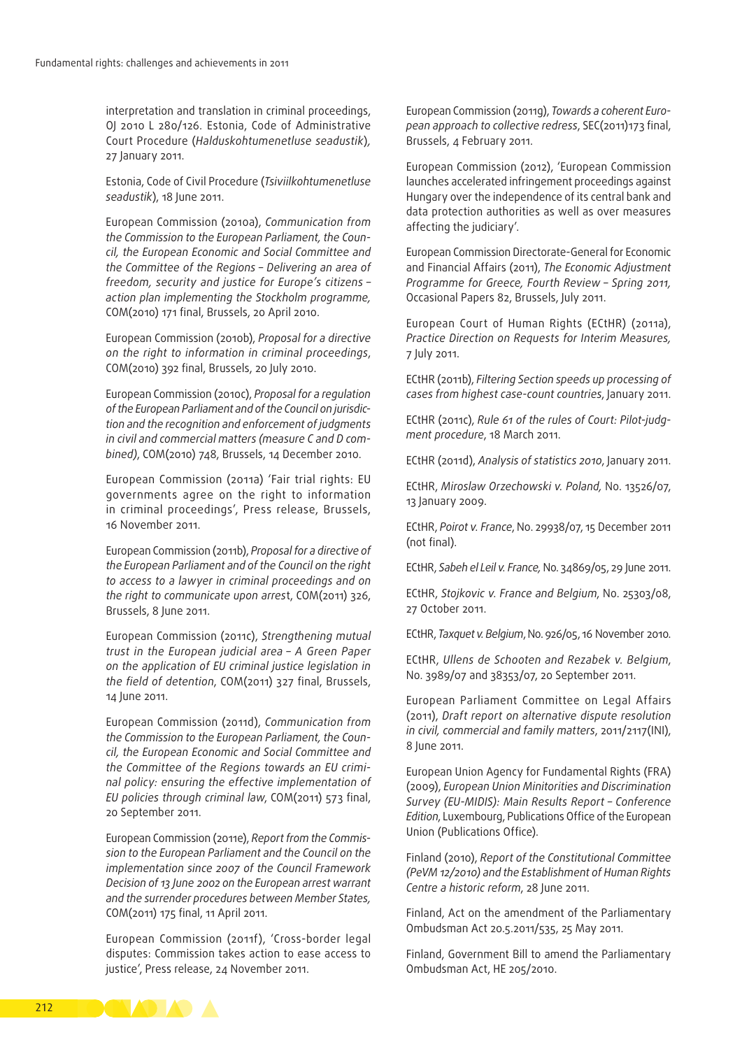interpretation and translation in criminal proceedings, OJ 2010 L 280/126*.* Estonia, Code of Administrative Court Procedure (*Halduskohtumenetluse seadustik*)*,* 27 January 2011.

Estonia, Code of Civil Procedure (*Tsiviilkohtumenetluse seadustik*), 18 June 2011.

European Commission (2010a), *Communication from the Commission to the European Parliament, the Coun‑ cil, the European Economic and Social Committee and the Committee of the Regions – Delivering an area of freedom, security and justice for Europe's citizens – action plan implementing the Stockholm programme,* COM(2010) 171 final, Brussels, 20 April 2010.

European Commission (2010b), *Proposal for a directive on the right to information in criminal proceedings*, COM(2010) 392 final, Brussels, 20 July 2010.

European Commission (2010c), *Proposal for a regulation of the European Parliament and of the Council on jurisdic‑ tion and the recognition and enforcement of judgments in civil and commercial matters (measure C and D com‑ bined)*, COM(2010) 748, Brussels, 14 December 2010.

European Commission (2011a) 'Fair trial rights: EU governments agree on the right to information in criminal proceedings', Press release, Brussels, 16 November 2011.

European Commission (2011b), *Proposal for a directive of the European Parliament and of the Council on the right to access to a lawyer in criminal proceedings and on the right to communicate upon arres*t, COM(2011) 326, Brussels, 8 June 2011.

European Commission (2011c), *Strengthening mutual trust in the European judicial area – A Green Paper on the application of EU criminal justice legislation in the field of detention*, COM(2011) 327 final, Brussels, 14 June 2011.

European Commission (2011d), *Communication from the Commission to the European Parliament, the Coun‑ cil, the European Economic and Social Committee and the Committee of the Regions towards an EU crimi‑ nal policy: ensuring the effective implementation of EU policies through criminal law*, COM(2011) 573 final, 20 September 2011.

European Commission (2011e), *Report from the Commis‑ sion to the European Parliament and the Council on the implementation since 2007 of the Council Framework Decision of 13 June 2002 on the European arrest warrant and the surrender procedures between Member States,* COM(2011) 175 final, 11 April 2011.

European Commission (2011f), 'Cross‑border legal disputes: Commission takes action to ease access to justice', Press release, 24 November 2011.

European Commission (2011g), *Towards a coherent Euro‑ pean approach to collective redress*, SEC(2011)173 final, Brussels, 4 February 2011.

European Commission (2012), 'European Commission launches accelerated infringement proceedings against Hungary over the independence of its central bank and data protection authorities as well as over measures affecting the judiciary'.

European Commission Directorate‑General for Economic and Financial Affairs (2011), *The Economic Adjustment Programme for Greece, Fourth Review – Spring 2011,*  Occasional Papers 82, Brussels, July 2011.

European Court of Human Rights (ECtHR) (2011a), *Practice Direction on Requests for Interim Measures,* 7 July 2011.

ECtHR (2011b), *Filtering Section speeds up processing of cases from highest case‑count countries*, January 2011.

ECtHR (2011c), *Rule 61 of the rules of Court: Pilot‑judg‑ ment procedure*, 18 March 2011.

ECtHR (2011d), *Analysis of statistics 2010*, January 2011.

ECtHR, *Miroslaw Orzechowski v. Poland,* No. 13526/07, 13 January 2009.

ECtHR, *Poirot v. France*, No. 29938/07, 15 December 2011 (not final).

ECtHR, *Sabeh el Leil v. France,* No. 34869/05, 29 June 2011.

ECtHR, *Stojkovic v. France and Belgium*, No. 25303/08, 27 October 2011.

ECtHR, *Taxquet v. Belgium*, No. 926/05, 16 November 2010.

ECtHR, *Ullens de Schooten and Rezabek v. Belgium*, No. 3989/07 and 38353/07, 20 September 2011.

European Parliament Committee on Legal Affairs (2011), *Draft report on alternative dispute resolution in civil, commercial and family matters*, 2011/2117(INI), 8 June 2011.

European Union Agency for Fundamental Rights (FRA) (2009), *European Union Minitorities and Discrimination Survey (EU‑MIDIS): Main Results Report – Conference Edition*, Luxembourg, Publications Office of the European Union (Publications Office).

Finland (2010), *Report of the Constitutional Committee (PeVM 12/2010) and the Establishment of Human Rights Centre a historic reform*, 28 June 2011.

Finland, Act on the amendment of the Parliamentary Ombudsman Act 20.5.2011/535, 25 May 2011.

Finland, Government Bill to amend the Parliamentary Ombudsman Act, HE 205/2010.

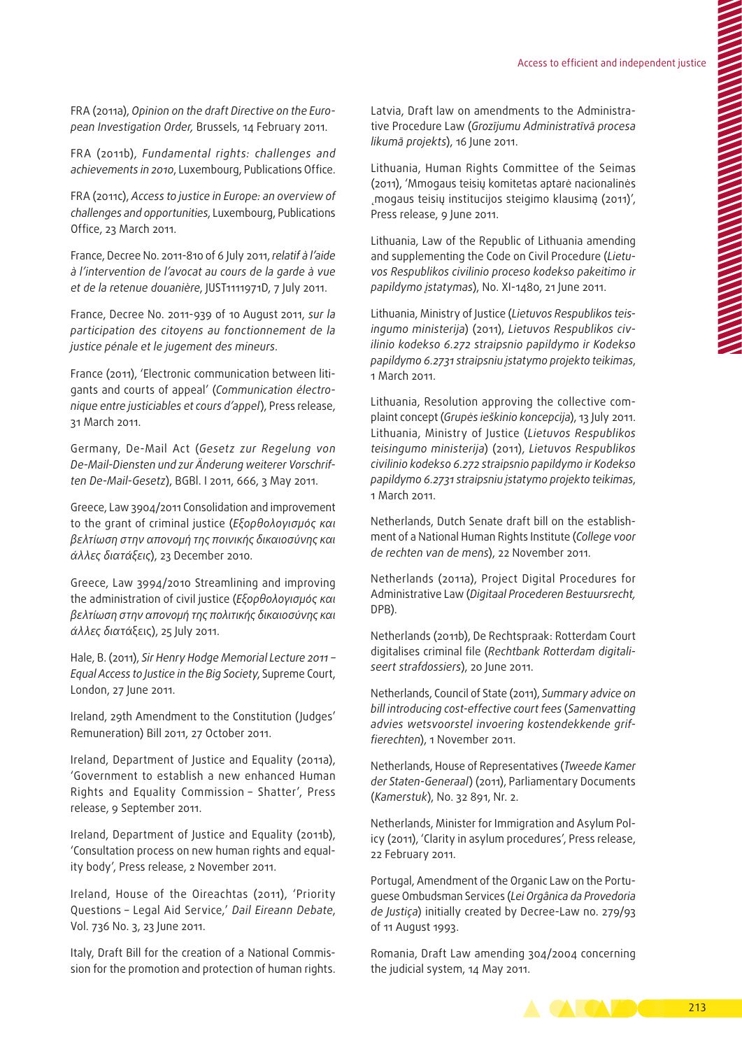FRA (2011a), *Opinion on the draft Directive on the Euro‑ pean Investigation Order,* Brussels, 14 February 2011.

FRA (2011b), *Fundamental rights: challenges and achievements in 2010*, Luxembourg, Publications Office.

FRA (2011c), *Access to justice in Europe: an overview of challenges and opportunities*, Luxembourg, Publications Office, 23 March 2011.

France, Decree No. 2011-810 of 6 July 2011, *relatif à l'aide à l'intervention de l'avocat au cours de la garde à vue et de la retenue douanière*, JUST1111971D, 7 July 2011.

France, Decree No. 2011-939 of 10 August 2011, *sur la participation des citoyens au fonctionnement de la justice pénale et le jugement des mineurs*.

France (2011), 'Electronic communication between litigants and courts of appeal' (*Communication électro‑ nique entre justiciables et cours d'appel*), Press release, 31 March 2011.

Germany, De‑Mail Act (*Gesetz zur Regelung von De‑Mail‑Diensten und zur Änderung weiterer Vorschrif‑ ten De‑Mail‑Gesetz*), BGBl. I 2011, 666, 3 May 2011.

Greece, Law 3904/2011 Consolidation and improvement to the grant of criminal justice (*Εξορθολογισμός και βελτίωση στην απονομή της ποινικής δικαιοσύνης και άλλες διατάξεις*), 23 December 2010.

Greece, Law 3994/2010 Streamlining and improving the administration of civil justice (*Εξορθολογισμός και βελτίωση στην απονομή της πολιτικής δικαιοσύνης και άλλες δια*τάξεις), 25 July 2011.

Hale, B. (2011), *Sir Henry Hodge Memorial Lecture 2011 – Equal Access to Justice in the Big Society*, Supreme Court, London, 27 June 2011.

Ireland, 29th Amendment to the Constitution (Judges' Remuneration) Bill 2011, 27 October 2011.

Ireland, Department of Justice and Equality (2011a), 'Government to establish a new enhanced Human Rights and Equality Commission – Shatter', Press release, 9 September 2011.

Ireland, Department of Justice and Equality (2011b), 'Consultation process on new human rights and equal‑ ity body', Press release, 2 November 2011.

Ireland, House of the Oireachtas (2011), 'Priority Questions – Legal Aid Service,' *Dail Eireann Debate*, Vol. 736 No. 3, 23 June 2011.

Italy, Draft Bill for the creation of a National Commission for the promotion and protection of human rights.

Latvia, Draft law on amendments to the Administrative Procedure Law (*Grozījumu Administratīvā procesa likumā projekts*), 16 June 2011.

Lithuania, Human Rights Committee of the Seimas (2011), 'Mmogaus teisių komitetas aptarė nacionalinės ˛mogaus teisių institucijos steigimo klausimą (2011)', Press release, 9 June 2011.

Lithuania, Law of the Republic of Lithuania amending and supplementing the Code on Civil Procedure (*Lietu‑ vos Respublikos civilinio proceso kodekso pakeitimo ir papildymo įstatymas*), No. XI-1480, 21 June 2011.

Lithuania, Ministry of Justice (*Lietuvos Respublikos teis‑ ingumo ministerija*) (2011), *Lietuvos Respublikos civ‑ ilinio kodekso 6.272 straipsnio papildymo ir Kodekso papildymo 6.2731 straipsniu įstatymo projekto teikimas*, 1 March 2011.

Lithuania, Resolution approving the collective complaint concept (*Grupės ieškinio koncepcija*), 13 July 2011. Lithuania, Ministry of Justice (*Lietuvos Respublikos teisingumo ministerija*) (2011), *Lietuvos Respublikos civilinio kodekso 6.272 straipsnio papildymo ir Kodekso papildymo 6.2731 straipsniu įstatymo projekto teikimas*, 1 March 2011.

Netherlands, Dutch Senate draft bill on the establishment of a National Human Rights Institute (*College voor de rechten van de mens*), 22 November 2011.

Netherlands (2011a), Project Digital Procedures for Administrative Law (*Digitaal Procederen Bestuursrecht,*  DPB).

Netherlands (2011b), De Rechtspraak: Rotterdam Court digitalises criminal file (*Rechtbank Rotterdam digitali‑ seert strafdossiers*), 20 June 2011.

Netherlands, Council of State (2011), *Summary advice on bill introducing cost‑effective court fees* (*Samenvatting advies wetsvoorstel invoering kostendekkende grif‑ fierechten*), 1 November 2011.

Netherlands, House of Representatives (*Tweede Kamer der Staten‑Generaal*) (2011), Parliamentary Documents (*Kamerstuk*), No. 32 891, Nr. 2.

Netherlands, Minister for Immigration and Asylum Policy (2011), 'Clarity in asylum procedures', Press release, 22 February 2011.

Portugal, Amendment of the Organic Law on the Portuguese Ombudsman Services (*Lei Orgânica da Provedoria de Justiça*) initially created by Decree‑Law no. 279/93 of 11 August 1993.

Romania, Draft Law amending 304/2004 concerning the judicial system, 14 May 2011.

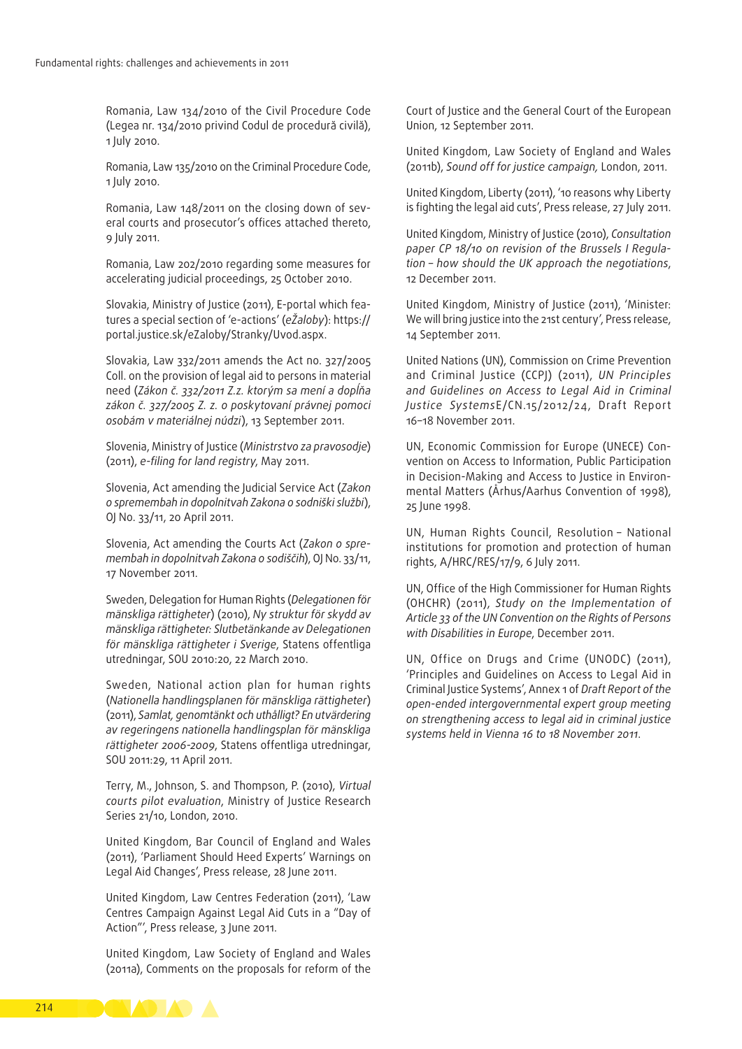Romania, Law 134/2010 of the Civil Procedure Code (Legea nr. 134/2010 privind Codul de procedură civilă), 1 July 2010.

Romania, Law 135/2010 on the Criminal Procedure Code, 1 July 2010.

Romania, Law 148/2011 on the closing down of several courts and prosecutor's offices attached thereto, 9 July 2011.

Romania, Law 202/2010 regarding some measures for accelerating judicial proceedings, 25 October 2010.

Slovakia, Ministry of Justice (2011), E-portal which features a special section of 'e‑actions' (*eŽaloby*): [https://](https://portal.justice.sk/eZaloby/Stranky/Uvod.aspx) [portal.justice.sk/eZaloby/Stranky/Uvod.aspx](https://portal.justice.sk/eZaloby/Stranky/Uvod.aspx).

Slovakia, Law 332/2011 amends the Act no. 327/2005 Coll. on the provision of legal aid to persons in material need (*Zákon č. 332/2011 Z.z. ktorým sa mení a dopĺňa zákon č. 327/2005 Z. z. o poskytovaní právnej pomoci osobám v materiálnej núdzi*), 13 September 2011.

Slovenia, Ministry of Justice (*Ministrstvo za pravosodje*) (2011), *e‑filing for land registry*, May 2011.

Slovenia, Act amending the Judicial Service Act (*Zakon o spremembah in dopolnitvah Zakona o sodniški službi*), OJ No. 33/11, 20 April 2011.

Slovenia, Act amending the Courts Act (*Zakon o spre‑ membah in dopolnitvah Zakona o sodiščih*), OJ No. 33/11, 17 November 2011.

Sweden, Delegation for Human Rights (*Delegationen för mänskliga rättigheter*) (2010), *Ny struktur för skydd av mänskliga rättigheter: Slutbetänkande av Delegationen för mänskliga rättigheter i Sverige*, Statens offentliga utredningar, SOU 2010:20, 22 March 2010.

Sweden, National action plan for human rights (*Nationella handlingsplanen för mänskliga rättigheter*) (2011), *Samlat, genomtänkt och uthålligt? En utvärdering av regeringens nationella handlingsplan för mänskliga rättigheter 2006‑2009*, Statens offentliga utredningar, SOU 2011:29, 11 April 2011.

Terry, M., Johnson, S. and Thompson, P. (2010), *Virtual courts pilot evaluation*, Ministry of Justice Research Series 21/10, London, 2010.

United Kingdom, Bar Council of England and Wales (2011), 'Parliament Should Heed Experts' Warnings on Legal Aid Changes', Press release, 28 June 2011.

United Kingdom, Law Centres Federation (2011), 'Law Centres Campaign Against Legal Aid Cuts in a "Day of Action"', Press release, 3 June 2011.

United Kingdom, Law Society of England and Wales (2011a), Comments on the proposals for reform of the

Court of Justice and the General Court of the European Union, 12 September 2011.

United Kingdom, Law Society of England and Wales (2011b), *Sound off for justice campaign,* London, 2011.

United Kingdom, Liberty (2011), '10 reasons why Liberty is fighting the legal aid cuts', Press release, 27 July 2011.

United Kingdom, Ministry of Justice (2010), *Consultation paper CP 18/10 on revision of the Brussels I Regula‑ tion – how should the UK approach the negotiations*, 12 December 2011.

United Kingdom, Ministry of Justice (2011), 'Minister: We will bring justice into the 21st century', Press release, 14 September 2011.

United Nations (UN), Commission on Crime Prevention and Criminal Justice (CCPJ) (2011), *UN Principles and Guidelines on Access to Legal Aid in Criminal Justice Systems*E/CN.15/2012/24, Draft Report 16–18 November 2011.

UN, Economic Commission for Europe (UNECE) Convention on Access to Information, Public Participation in Decision-Making and Access to Justice in Environmental Matters (Århus/Aarhus Convention of 1998), 25 June 1998.

UN, Human Rights Council, Resolution – National institutions for promotion and protection of human rights, A/HRC/RES/17/9, 6 July 2011.

UN, Office of the High Commissioner for Human Rights (OHCHR) (2011), *Study on the Implementation of Article 33 of the UN Convention on the Rights of Persons with Disabilities in Europe*, December 2011.

UN, Office on Drugs and Crime (UNODC) (2011), 'Principles and Guidelines on Access to Legal Aid in Criminal Justice Systems', Annex 1 of *Draft Report of the open‑ended intergovernmental expert group meeting on strengthening access to legal aid in criminal justice systems held in Vienna 16 to 18 November 2011*.